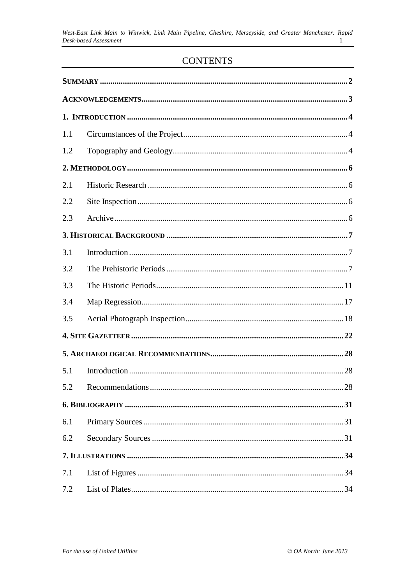# **CONTENTS**

| 1.1 |  |  |
|-----|--|--|
| 1.2 |  |  |
|     |  |  |
| 2.1 |  |  |
| 2.2 |  |  |
| 2.3 |  |  |
|     |  |  |
| 3.1 |  |  |
| 3.2 |  |  |
| 3.3 |  |  |
| 3.4 |  |  |
| 3.5 |  |  |
|     |  |  |
|     |  |  |
| 5.1 |  |  |
|     |  |  |
|     |  |  |
| 6.1 |  |  |
| 6.2 |  |  |
|     |  |  |
| 7.1 |  |  |
| 7.2 |  |  |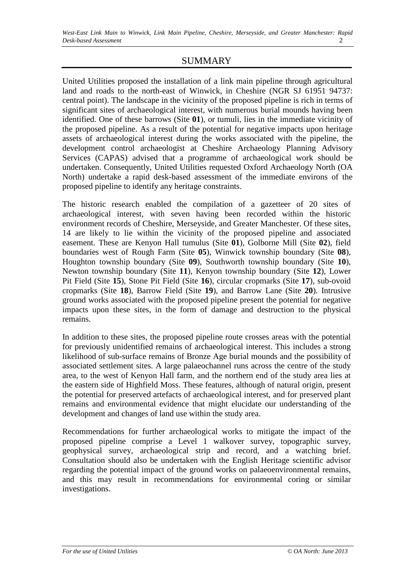# SUMMARY

United Utilities proposed the installation of a link main pipeline through agricultural land and roads to the north-east of Winwick, in Cheshire (NGR SJ 61951 94737: central point). The landscape in the vicinity of the proposed pipeline is rich in terms of significant sites of archaeological interest, with numerous burial mounds having been identified. One of these barrows (Site **01**), or tumuli, lies in the immediate vicinity of the proposed pipeline. As a result of the potential for negative impacts upon heritage assets of archaeological interest during the works associated with the pipeline, the development control archaeologist at Cheshire Archaeology Planning Advisory Services (CAPAS) advised that a programme of archaeological work should be undertaken. Consequently, United Utilities requested Oxford Archaeology North (OA North) undertake a rapid desk-based assessment of the immediate environs of the proposed pipeline to identify any heritage constraints.

The historic research enabled the compilation of a gazetteer of 20 sites of archaeological interest, with seven having been recorded within the historic environment records of Cheshire, Merseyside, and Greater Manchester. Of these sites, 14 are likely to lie within the vicinity of the proposed pipeline and associated easement. These are Kenyon Hall tumulus (Site **01**), Golborne Mill (Site **02**), field boundaries west of Rough Farm (Site **05**), Winwick township boundary (Site **08**), Houghton township boundary (Site **09**), Southworth township boundary (Site **10**), Newton township boundary (Site **11**), Kenyon township boundary (Site **12**), Lower Pit Field (Site **15**), Stone Pit Field (Site **16**), circular cropmarks (Site **17**), sub-ovoid cropmarks (Site **18**), Barrow Field (Site **19**), and Barrow Lane (Site **20**). Intrusive ground works associated with the proposed pipeline present the potential for negative impacts upon these sites, in the form of damage and destruction to the physical remains.

In addition to these sites, the proposed pipeline route crosses areas with the potential for previously unidentified remains of archaeological interest. This includes a strong likelihood of sub-surface remains of Bronze Age burial mounds and the possibility of associated settlement sites. A large palaeochannel runs across the centre of the study area, to the west of Kenyon Hall farm, and the northern end of the study area lies at the eastern side of Highfield Moss. These features, although of natural origin, present the potential for preserved artefacts of archaeological interest, and for preserved plant remains and environmental evidence that might elucidate our understanding of the development and changes of land use within the study area.

Recommendations for further archaeological works to mitigate the impact of the proposed pipeline comprise a Level 1 walkover survey, topographic survey, geophysical survey, archaeological strip and record, and a watching brief. Consultation should also be undertaken with the English Heritage scientific advisor regarding the potential impact of the ground works on palaeoenvironmental remains, and this may result in recommendations for environmental coring or similar investigations.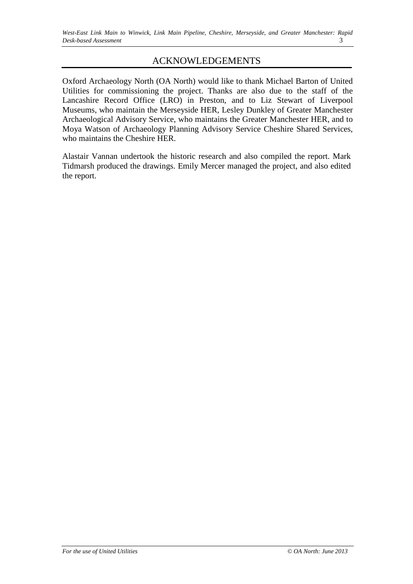# ACKNOWLEDGEMENTS

Oxford Archaeology North (OA North) would like to thank Michael Barton of United Utilities for commissioning the project. Thanks are also due to the staff of the Lancashire Record Office (LRO) in Preston, and to Liz Stewart of Liverpool Museums, who maintain the Merseyside HER, Lesley Dunkley of Greater Manchester Archaeological Advisory Service, who maintains the Greater Manchester HER, and to Moya Watson of Archaeology Planning Advisory Service Cheshire Shared Services, who maintains the Cheshire HER.

Alastair Vannan undertook the historic research and also compiled the report. Mark Tidmarsh produced the drawings. Emily Mercer managed the project, and also edited the report.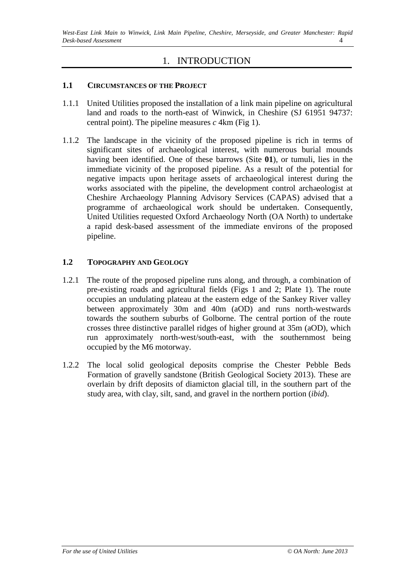# 1. INTRODUCTION

#### **1.1 CIRCUMSTANCES OF THE PROJECT**

- 1.1.1 United Utilities proposed the installation of a link main pipeline on agricultural land and roads to the north-east of Winwick, in Cheshire (SJ 61951 94737: central point). The pipeline measures  $c$  4km (Fig 1).
- 1.1.2 The landscape in the vicinity of the proposed pipeline is rich in terms of significant sites of archaeological interest, with numerous burial mounds having been identified. One of these barrows (Site **01**), or tumuli, lies in the immediate vicinity of the proposed pipeline. As a result of the potential for negative impacts upon heritage assets of archaeological interest during the works associated with the pipeline, the development control archaeologist at Cheshire Archaeology Planning Advisory Services (CAPAS) advised that a programme of archaeological work should be undertaken. Consequently, United Utilities requested Oxford Archaeology North (OA North) to undertake a rapid desk-based assessment of the immediate environs of the proposed pipeline.

### **1.2 TOPOGRAPHY AND GEOLOGY**

- 1.2.1 The route of the proposed pipeline runs along, and through, a combination of pre-existing roads and agricultural fields (Figs 1 and 2; Plate 1). The route occupies an undulating plateau at the eastern edge of the Sankey River valley between approximately 30m and 40m (aOD) and runs north-westwards towards the southern suburbs of Golborne. The central portion of the route crosses three distinctive parallel ridges of higher ground at 35m (aOD), which run approximately north-west/south-east, with the southernmost being occupied by the M6 motorway.
- 1.2.2 The local solid geological deposits comprise the Chester Pebble Beds Formation of gravelly sandstone (British Geological Society 2013). These are overlain by drift deposits of diamicton glacial till, in the southern part of the study area, with clay, silt, sand, and gravel in the northern portion (*ibid*).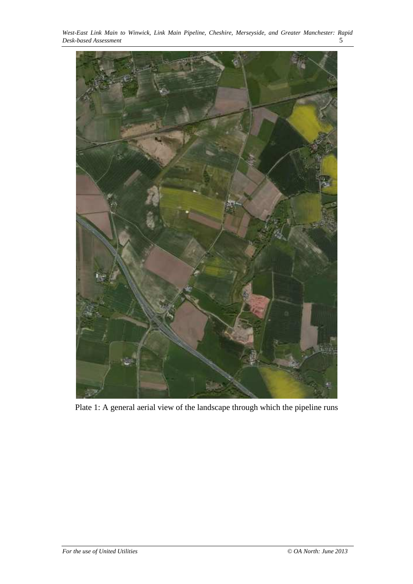*West-East Link Main to Winwick, Link Main Pipeline, Cheshire, Merseyside, and Greater Manchester: Rapid Desk-based Assessment* 5



Plate 1: A general aerial view of the landscape through which the pipeline runs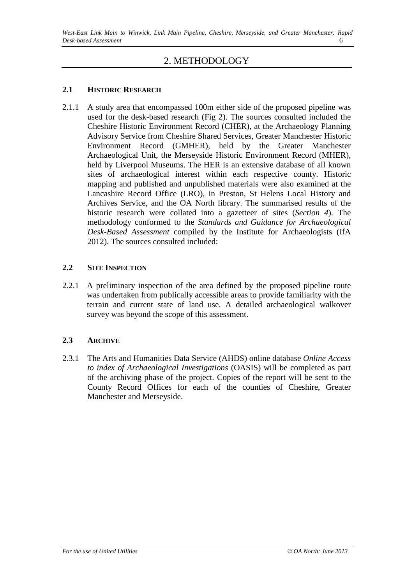# 2. METHODOLOGY

### **2.1 HISTORIC RESEARCH**

2.1.1 A study area that encompassed 100m either side of the proposed pipeline was used for the desk-based research (Fig 2). The sources consulted included the Cheshire Historic Environment Record (CHER), at the Archaeology Planning Advisory Service from Cheshire Shared Services, Greater Manchester Historic Environment Record (GMHER), held by the Greater Manchester Archaeological Unit, the Merseyside Historic Environment Record (MHER), held by Liverpool Museums. The HER is an extensive database of all known sites of archaeological interest within each respective county. Historic mapping and published and unpublished materials were also examined at the Lancashire Record Office (LRO), in Preston, St Helens Local History and Archives Service, and the OA North library. The summarised results of the historic research were collated into a gazetteer of sites (*Section 4*). The methodology conformed to the *Standards and Guidance for Archaeological Desk-Based Assessment* compiled by the Institute for Archaeologists (IfA 2012). The sources consulted included:

### **2.2 SITE INSPECTION**

2.2.1 A preliminary inspection of the area defined by the proposed pipeline route was undertaken from publically accessible areas to provide familiarity with the terrain and current state of land use. A detailed archaeological walkover survey was beyond the scope of this assessment.

### **2.3 ARCHIVE**

2.3.1 The Arts and Humanities Data Service (AHDS) online database *Online Access to index of Archaeological Investigations* (OASIS) will be completed as part of the archiving phase of the project. Copies of the report will be sent to the County Record Offices for each of the counties of Cheshire, Greater Manchester and Merseyside.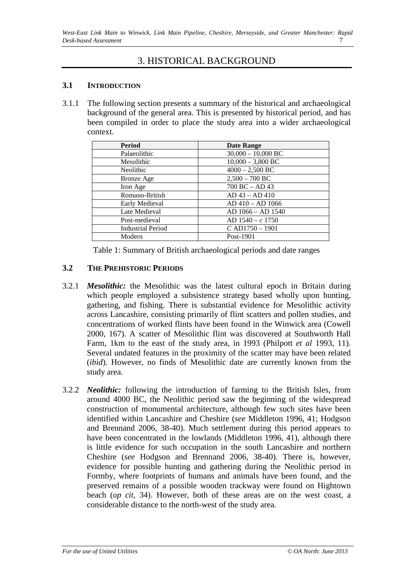# 3. HISTORICAL BACKGROUND

### **3.1 INTRODUCTION**

3.1.1 The following section presents a summary of the historical and archaeological background of the general area. This is presented by historical period, and has been compiled in order to place the study area into a wider archaeological context.

| <b>Period</b>            | <b>Date Range</b>    |
|--------------------------|----------------------|
| Palaeolithic             | $30,000 - 10,000$ BC |
| Mesolithic               | $10,000 - 3,800$ BC  |
| Neolithic                | $4000 - 2,500$ BC    |
| Bronze Age               | $2,500 - 700$ BC     |
| Iron Age                 | $700$ BC $-$ AD 43   |
| Romano-British           | $AD 43 - AD 410$     |
| Early Medieval           | $AD$ 410 – AD 1066   |
| Late Medieval            | AD 1066 - AD 1540    |
| Post-medieval            | $AD 1540 - c 1750$   |
| <b>Industrial Period</b> | $C$ AD1750 - 1901    |
| Modern                   | Post-1901            |
|                          |                      |

Table 1: Summary of British archaeological periods and date ranges

### **3.2 THE PREHISTORIC PERIODS**

- 3.2.1 *Mesolithic:* the Mesolithic was the latest cultural epoch in Britain during which people employed a subsistence strategy based wholly upon hunting, gathering, and fishing. There is substantial evidence for Mesolithic activity across Lancashire, consisting primarily of flint scatters and pollen studies, and concentrations of worked flints have been found in the Winwick area (Cowell 2000, 167). A scatter of Mesolithic flint was discovered at Southworth Hall Farm, 1km to the east of the study area, in 1993 (Philpott *et al* 1993, 11). Several undated features in the proximity of the scatter may have been related (*ibid*). However, no finds of Mesolithic date are currently known from the study area.
- 3.2.2 *Neolithic:* following the introduction of farming to the British Isles, from around 4000 BC, the Neolithic period saw the beginning of the widespread construction of monumental architecture, although few such sites have been identified within Lancashire and Cheshire (*see* Middleton 1996, 41; Hodgson and Brennand 2006, 38-40). Much settlement during this period appears to have been concentrated in the lowlands (Middleton 1996, 41), although there is little evidence for such occupation in the south Lancashire and northern Cheshire (*see* Hodgson and Brennand 2006, 38-40). There is, however, evidence for possible hunting and gathering during the Neolithic period in Formby, where footprints of humans and animals have been found, and the preserved remains of a possible wooden trackway were found on Hightown beach (*op cit*, 34). However, both of these areas are on the west coast, a considerable distance to the north-west of the study area.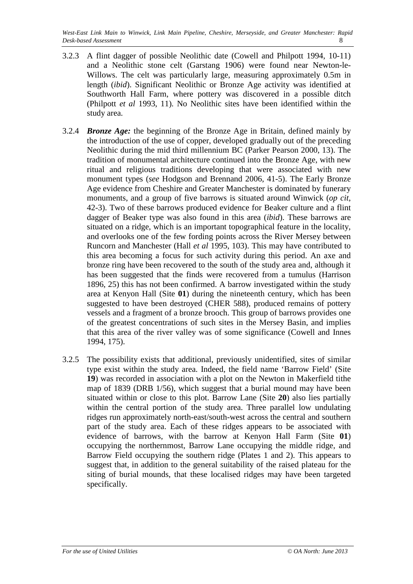- 3.2.3 A flint dagger of possible Neolithic date (Cowell and Philpott 1994, 10-11) and a Neolithic stone celt (Garstang 1906) were found near Newton-le-Willows. The celt was particularly large, measuring approximately 0.5m in length (*ibid*). Significant Neolithic or Bronze Age activity was identified at Southworth Hall Farm, where pottery was discovered in a possible ditch (Philpott *et al* 1993, 11). No Neolithic sites have been identified within the study area.
- 3.2.4 *Bronze Age:* the beginning of the Bronze Age in Britain, defined mainly by the introduction of the use of copper, developed gradually out of the preceding Neolithic during the mid third millennium BC (Parker Pearson 2000, 13). The tradition of monumental architecture continued into the Bronze Age, with new ritual and religious traditions developing that were associated with new monument types (*see* Hodgson and Brennand 2006, 41-5). The Early Bronze Age evidence from Cheshire and Greater Manchester is dominated by funerary monuments, and a group of five barrows is situated around Winwick (*op cit*, 42-3). Two of these barrows produced evidence for Beaker culture and a flint dagger of Beaker type was also found in this area (*ibid*). These barrows are situated on a ridge, which is an important topographical feature in the locality, and overlooks one of the few fording points across the River Mersey between Runcorn and Manchester (Hall *et al* 1995, 103). This may have contributed to this area becoming a focus for such activity during this period. An axe and bronze ring have been recovered to the south of the study area and, although it has been suggested that the finds were recovered from a tumulus (Harrison 1896, 25) this has not been confirmed. A barrow investigated within the study area at Kenyon Hall (Site **01**) during the nineteenth century, which has been suggested to have been destroyed (CHER 588), produced remains of pottery vessels and a fragment of a bronze brooch. This group of barrows provides one of the greatest concentrations of such sites in the Mersey Basin, and implies that this area of the river valley was of some significance (Cowell and Innes 1994, 175).
- 3.2.5 The possibility exists that additional, previously unidentified, sites of similar type exist within the study area. Indeed, the field name 'Barrow Field' (Site **19**) was recorded in association with a plot on the Newton in Makerfield tithe map of 1839 (DRB 1/56), which suggest that a burial mound may have been situated within or close to this plot. Barrow Lane (Site **20**) also lies partially within the central portion of the study area. Three parallel low undulating ridges run approximately north-east/south-west across the central and southern part of the study area. Each of these ridges appears to be associated with evidence of barrows, with the barrow at Kenyon Hall Farm (Site **01**) occupying the northernmost, Barrow Lane occupying the middle ridge, and Barrow Field occupying the southern ridge (Plates 1 and 2). This appears to suggest that, in addition to the general suitability of the raised plateau for the siting of burial mounds, that these localised ridges may have been targeted specifically.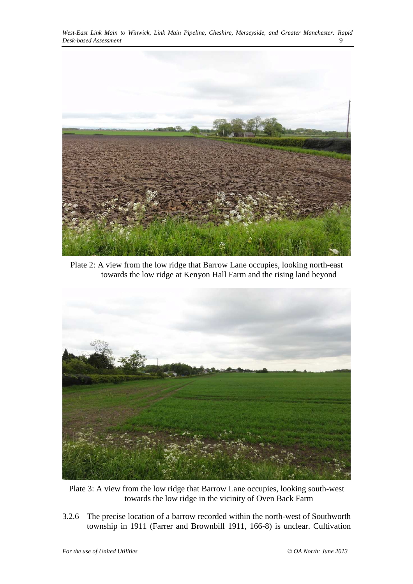

Plate 2: A view from the low ridge that Barrow Lane occupies, looking north-east towards the low ridge at Kenyon Hall Farm and the rising land beyond



Plate 3: A view from the low ridge that Barrow Lane occupies, looking south-west towards the low ridge in the vicinity of Oven Back Farm

3.2.6 The precise location of a barrow recorded within the north-west of Southworth township in 1911 (Farrer and Brownbill 1911, 166-8) is unclear. Cultivation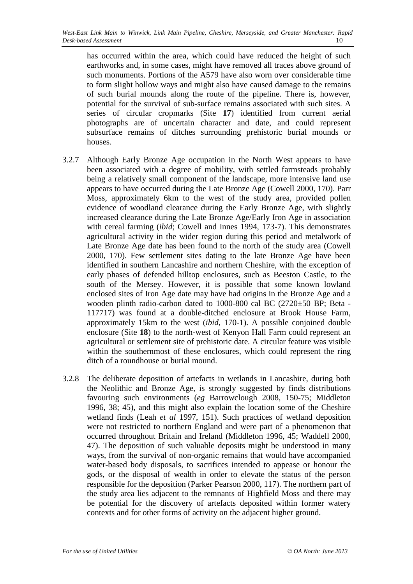has occurred within the area, which could have reduced the height of such earthworks and, in some cases, might have removed all traces above ground of such monuments. Portions of the A579 have also worn over considerable time to form slight hollow ways and might also have caused damage to the remains of such burial mounds along the route of the pipeline. There is, however, potential for the survival of sub-surface remains associated with such sites. A series of circular cropmarks (Site **17**) identified from current aerial photographs are of uncertain character and date, and could represent subsurface remains of ditches surrounding prehistoric burial mounds or houses.

- 3.2.7 Although Early Bronze Age occupation in the North West appears to have been associated with a degree of mobility, with settled farmsteads probably being a relatively small component of the landscape, more intensive land use appears to have occurred during the Late Bronze Age (Cowell 2000, 170). Parr Moss, approximately 6km to the west of the study area, provided pollen evidence of woodland clearance during the Early Bronze Age, with slightly increased clearance during the Late Bronze Age/Early Iron Age in association with cereal farming (*ibid*; Cowell and Innes 1994, 173-7). This demonstrates agricultural activity in the wider region during this period and metalwork of Late Bronze Age date has been found to the north of the study area (Cowell 2000, 170). Few settlement sites dating to the late Bronze Age have been identified in southern Lancashire and northern Cheshire, with the exception of early phases of defended hilltop enclosures, such as Beeston Castle, to the south of the Mersey. However, it is possible that some known lowland enclosed sites of Iron Age date may have had origins in the Bronze Age and a wooden plinth radio-carbon dated to 1000-800 cal BC (2720±50 BP; Beta - 117717) was found at a double-ditched enclosure at Brook House Farm, approximately 15km to the west (*ibid*, 170-1). A possible conjoined double enclosure (Site **18**) to the north-west of Kenyon Hall Farm could represent an agricultural or settlement site of prehistoric date. A circular feature was visible within the southernmost of these enclosures, which could represent the ring ditch of a roundhouse or burial mound.
- 3.2.8 The deliberate deposition of artefacts in wetlands in Lancashire, during both the Neolithic and Bronze Age, is strongly suggested by finds distributions favouring such environments (*eg* Barrowclough 2008, 150-75; Middleton 1996, 38; 45), and this might also explain the location some of the Cheshire wetland finds (Leah *et al* 1997, 151). Such practices of wetland deposition were not restricted to northern England and were part of a phenomenon that occurred throughout Britain and Ireland (Middleton 1996, 45; Waddell 2000, 47). The deposition of such valuable deposits might be understood in many ways, from the survival of non-organic remains that would have accompanied water-based body disposals, to sacrifices intended to appease or honour the gods, or the disposal of wealth in order to elevate the status of the person responsible for the deposition (Parker Pearson 2000, 117). The northern part of the study area lies adjacent to the remnants of Highfield Moss and there may be potential for the discovery of artefacts deposited within former watery contexts and for other forms of activity on the adjacent higher ground.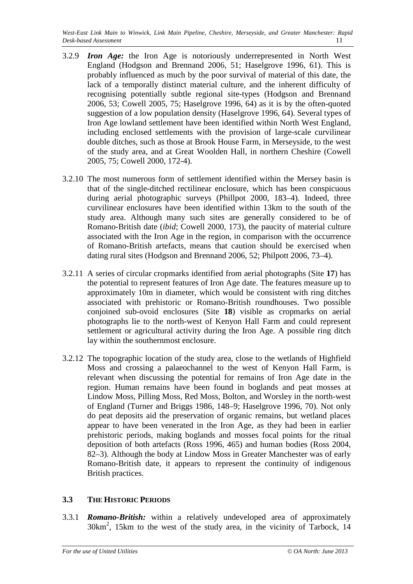- 3.2.9 *Iron Age:* the Iron Age is notoriously underrepresented in North West England (Hodgson and Brennand 2006, 51; Haselgrove 1996, 61). This is probably influenced as much by the poor survival of material of this date, the lack of a temporally distinct material culture, and the inherent difficulty of recognising potentially subtle regional site-types (Hodgson and Brennand 2006, 53; Cowell 2005, 75; Haselgrove 1996, 64) as it is by the often-quoted suggestion of a low population density (Haselgrove 1996, 64). Several types of Iron Age lowland settlement have been identified within North West England, including enclosed settlements with the provision of large-scale curvilinear double ditches, such as those at Brook House Farm, in Merseyside, to the west of the study area, and at Great Woolden Hall, in northern Cheshire (Cowell 2005, 75; Cowell 2000, 172-4).
- 3.2.10 The most numerous form of settlement identified within the Mersey basin is that of the single-ditched rectilinear enclosure, which has been conspicuous during aerial photographic surveys (Phillpot 2000, 183–4). Indeed, three curvilinear enclosures have been identified within 13km to the south of the study area. Although many such sites are generally considered to be of Romano-British date (*ibid*; Cowell 2000, 173), the paucity of material culture associated with the Iron Age in the region, in comparison with the occurrence of Romano-British artefacts, means that caution should be exercised when dating rural sites (Hodgson and Brennand 2006, 52; Philpott 2006, 73–4).
- 3.2.11 A series of circular cropmarks identified from aerial photographs (Site **17**) has the potential to represent features of Iron Age date. The features measure up to approximately 10m in diameter, which would be consistent with ring ditches associated with prehistoric or Romano-British roundhouses. Two possible conjoined sub-ovoid enclosures (Site **18**) visible as cropmarks on aerial photographs lie to the north-west of Kenyon Hall Farm and could represent settlement or agricultural activity during the Iron Age. A possible ring ditch lay within the southernmost enclosure.
- 3.2.12 The topographic location of the study area, close to the wetlands of Highfield Moss and crossing a palaeochannel to the west of Kenyon Hall Farm, is relevant when discussing the potential for remains of Iron Age date in the region. Human remains have been found in boglands and peat mosses at Lindow Moss, Pilling Moss, Red Moss, Bolton, and Worsley in the north-west of England (Turner and Briggs 1986, 148–9; Haselgrove 1996, 70). Not only do peat deposits aid the preservation of organic remains, but wetland places appear to have been venerated in the Iron Age, as they had been in earlier prehistoric periods, making boglands and mosses focal points for the ritual deposition of both artefacts (Ross 1996, 465) and human bodies (Ross 2004, 82–3). Although the body at Lindow Moss in Greater Manchester was of early Romano-British date, it appears to represent the continuity of indigenous British practices.

### **3.3 THE HISTORIC PERIODS**

3.3.1 *Romano-British:* within a relatively undeveloped area of approximately 30km<sup>2</sup> , 15km to the west of the study area, in the vicinity of Tarbock, 14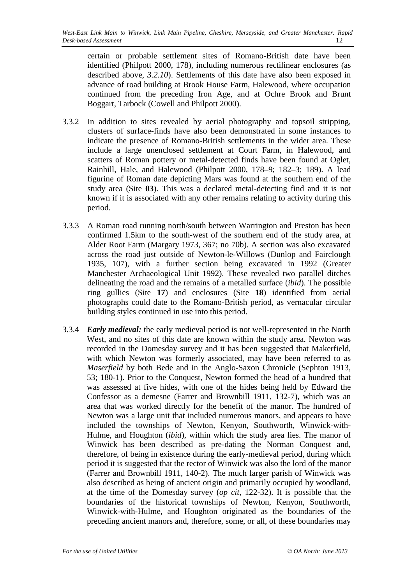certain or probable settlement sites of Romano-British date have been identified (Philpott 2000, 178), including numerous rectilinear enclosures (as described above, *3.2.10*). Settlements of this date have also been exposed in advance of road building at Brook House Farm, Halewood, where occupation continued from the preceding Iron Age, and at Ochre Brook and Brunt Boggart, Tarbock (Cowell and Philpott 2000).

- 3.3.2 In addition to sites revealed by aerial photography and topsoil stripping, clusters of surface-finds have also been demonstrated in some instances to indicate the presence of Romano-British settlements in the wider area. These include a large unenclosed settlement at Court Farm, in Halewood, and scatters of Roman pottery or metal-detected finds have been found at Oglet, Rainhill, Hale, and Halewood (Philpott 2000, 178–9; 182–3; 189). A lead figurine of Roman date depicting Mars was found at the southern end of the study area (Site **03**). This was a declared metal-detecting find and it is not known if it is associated with any other remains relating to activity during this period.
- 3.3.3 A Roman road running north/south between Warrington and Preston has been confirmed 1.5km to the south-west of the southern end of the study area, at Alder Root Farm (Margary 1973, 367; no 70b). A section was also excavated across the road just outside of Newton-le-Willows (Dunlop and Fairclough 1935, 107), with a further section being excavated in 1992 (Greater Manchester Archaeological Unit 1992). These revealed two parallel ditches delineating the road and the remains of a metalled surface (*ibid*). The possible ring gullies (Site **17**) and enclosures (Site **18**) identified from aerial photographs could date to the Romano-British period, as vernacular circular building styles continued in use into this period.
- 3.3.4 *Early medieval:* the early medieval period is not well-represented in the North West, and no sites of this date are known within the study area. Newton was recorded in the Domesday survey and it has been suggested that Makerfield, with which Newton was formerly associated, may have been referred to as *Maserfield* by both Bede and in the Anglo-Saxon Chronicle (Sephton 1913, 53; 180-1). Prior to the Conquest, Newton formed the head of a hundred that was assessed at five hides, with one of the hides being held by Edward the Confessor as a demesne (Farrer and Brownbill 1911, 132-7), which was an area that was worked directly for the benefit of the manor. The hundred of Newton was a large unit that included numerous manors, and appears to have included the townships of Newton, Kenyon, Southworth, Winwick-with-Hulme, and Houghton (*ibid*), within which the study area lies. The manor of Winwick has been described as pre-dating the Norman Conquest and, therefore, of being in existence during the early-medieval period, during which period it is suggested that the rector of Winwick was also the lord of the manor (Farrer and Brownbill 1911, 140-2). The much larger parish of Winwick was also described as being of ancient origin and primarily occupied by woodland, at the time of the Domesday survey (*op cit*, 122-32). It is possible that the boundaries of the historical townships of Newton, Kenyon, Southworth, Winwick-with-Hulme, and Houghton originated as the boundaries of the preceding ancient manors and, therefore, some, or all, of these boundaries may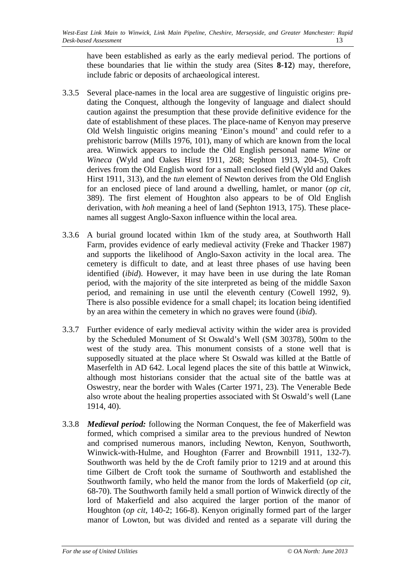have been established as early as the early medieval period. The portions of these boundaries that lie within the study area (Sites **8**-**12**) may, therefore, include fabric or deposits of archaeological interest.

- 3.3.5 Several place-names in the local area are suggestive of linguistic origins predating the Conquest, although the longevity of language and dialect should caution against the presumption that these provide definitive evidence for the date of establishment of these places. The place-name of Kenyon may preserve Old Welsh linguistic origins meaning 'Einon's mound' and could refer to a prehistoric barrow (Mills 1976, 101), many of which are known from the local area. Winwick appears to include the Old English personal name *Wine* or *Wineca* (Wyld and Oakes Hirst 1911, 268; Sephton 1913, 204-5), Croft derives from the Old English word for a small enclosed field (Wyld and Oakes Hirst 1911, 313), and the *tun* element of Newton derives from the Old English for an enclosed piece of land around a dwelling, hamlet, or manor (*op cit*, 389). The first element of Houghton also appears to be of Old English derivation, with *hoh* meaning a heel of land (Sephton 1913, 175). These placenames all suggest Anglo-Saxon influence within the local area.
- 3.3.6 A burial ground located within 1km of the study area, at Southworth Hall Farm, provides evidence of early medieval activity (Freke and Thacker 1987) and supports the likelihood of Anglo-Saxon activity in the local area. The cemetery is difficult to date, and at least three phases of use having been identified (*ibid*). However, it may have been in use during the late Roman period, with the majority of the site interpreted as being of the middle Saxon period, and remaining in use until the eleventh century (Cowell 1992, 9). There is also possible evidence for a small chapel; its location being identified by an area within the cemetery in which no graves were found (*ibid*).
- 3.3.7 Further evidence of early medieval activity within the wider area is provided by the Scheduled Monument of St Oswald's Well (SM 30378), 500m to the west of the study area. This monument consists of a stone well that is supposedly situated at the place where St Oswald was killed at the Battle of Maserfelth in AD 642. Local legend places the site of this battle at Winwick, although most historians consider that the actual site of the battle was at Oswestry, near the border with Wales (Carter 1971, 23). The Venerable Bede also wrote about the healing properties associated with St Oswald's well (Lane 1914, 40).
- 3.3.8 *Medieval period:* following the Norman Conquest, the fee of Makerfield was formed, which comprised a similar area to the previous hundred of Newton and comprised numerous manors, including Newton, Kenyon, Southworth, Winwick-with-Hulme, and Houghton (Farrer and Brownbill 1911, 132-7). Southworth was held by the de Croft family prior to 1219 and at around this time Gilbert de Croft took the surname of Southworth and established the Southworth family, who held the manor from the lords of Makerfield (*op cit*, 68-70). The Southworth family held a small portion of Winwick directly of the lord of Makerfield and also acquired the larger portion of the manor of Houghton (*op cit*, 140-2; 166-8). Kenyon originally formed part of the larger manor of Lowton, but was divided and rented as a separate vill during the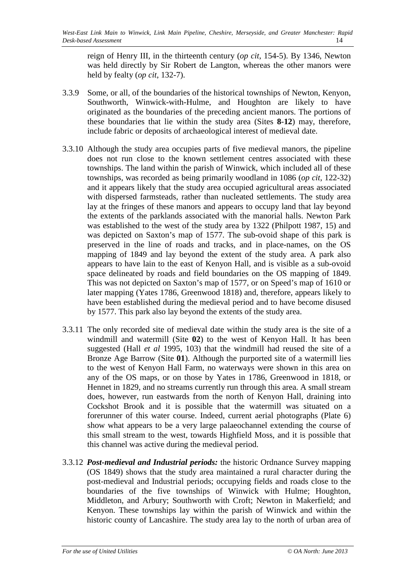reign of Henry III, in the thirteenth century (*op cit*, 154-5). By 1346, Newton was held directly by Sir Robert de Langton, whereas the other manors were held by fealty (*op cit*, 132-7).

- 3.3.9 Some, or all, of the boundaries of the historical townships of Newton, Kenyon, Southworth, Winwick-with-Hulme, and Houghton are likely to have originated as the boundaries of the preceding ancient manors. The portions of these boundaries that lie within the study area (Sites **8**-**12**) may, therefore, include fabric or deposits of archaeological interest of medieval date.
- 3.3.10 Although the study area occupies parts of five medieval manors, the pipeline does not run close to the known settlement centres associated with these townships. The land within the parish of Winwick, which included all of these townships, was recorded as being primarily woodland in 1086 (*op cit*, 122-32) and it appears likely that the study area occupied agricultural areas associated with dispersed farmsteads, rather than nucleated settlements. The study area lay at the fringes of these manors and appears to occupy land that lay beyond the extents of the parklands associated with the manorial halls. Newton Park was established to the west of the study area by 1322 (Philpott 1987, 15) and was depicted on Saxton's map of 1577. The sub-ovoid shape of this park is preserved in the line of roads and tracks, and in place-names, on the OS mapping of 1849 and lay beyond the extent of the study area. A park also appears to have lain to the east of Kenyon Hall, and is visible as a sub-ovoid space delineated by roads and field boundaries on the OS mapping of 1849. This was not depicted on Saxton's map of 1577, or on Speed's map of 1610 or later mapping (Yates 1786, Greenwood 1818) and, therefore, appears likely to have been established during the medieval period and to have become disused by 1577. This park also lay beyond the extents of the study area.
- 3.3.11 The only recorded site of medieval date within the study area is the site of a windmill and watermill (Site **02**) to the west of Kenyon Hall. It has been suggested (Hall *et al* 1995, 103) that the windmill had reused the site of a Bronze Age Barrow (Site **01**). Although the purported site of a watermill lies to the west of Kenyon Hall Farm, no waterways were shown in this area on any of the OS maps, or on those by Yates in 1786, Greenwood in 1818, or Hennet in 1829, and no streams currently run through this area. A small stream does, however, run eastwards from the north of Kenyon Hall, draining into Cockshot Brook and it is possible that the watermill was situated on a forerunner of this water course. Indeed, current aerial photographs (Plate 6) show what appears to be a very large palaeochannel extending the course of this small stream to the west, towards Highfield Moss, and it is possible that this channel was active during the medieval period.
- 3.3.12 *Post-medieval and Industrial periods:* the historic Ordnance Survey mapping (OS 1849) shows that the study area maintained a rural character during the post-medieval and Industrial periods; occupying fields and roads close to the boundaries of the five townships of Winwick with Hulme; Houghton, Middleton, and Arbury; Southworth with Croft; Newton in Makerfield; and Kenyon. These townships lay within the parish of Winwick and within the historic county of Lancashire. The study area lay to the north of urban area of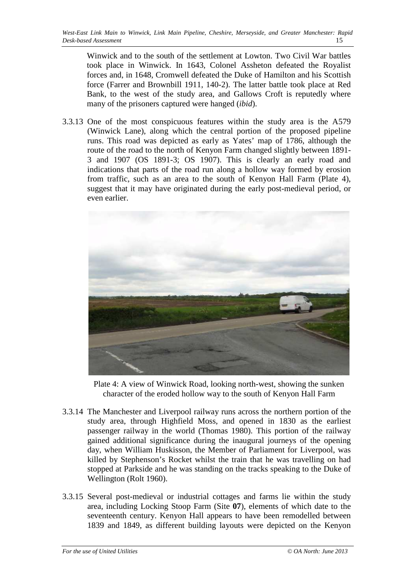Winwick and to the south of the settlement at Lowton. Two Civil War battles took place in Winwick. In 1643, Colonel Assheton defeated the Royalist forces and, in 1648, Cromwell defeated the Duke of Hamilton and his Scottish force (Farrer and Brownbill 1911, 140-2). The latter battle took place at Red Bank, to the west of the study area, and Gallows Croft is reputedly where many of the prisoners captured were hanged (*ibid*).

3.3.13 One of the most conspicuous features within the study area is the A579 (Winwick Lane), along which the central portion of the proposed pipeline runs. This road was depicted as early as Yates' map of 1786, although the route of the road to the north of Kenyon Farm changed slightly between 1891- 3 and 1907 (OS 1891-3; OS 1907). This is clearly an early road and indications that parts of the road run along a hollow way formed by erosion from traffic, such as an area to the south of Kenyon Hall Farm (Plate 4), suggest that it may have originated during the early post-medieval period, or even earlier.



Plate 4: A view of Winwick Road, looking north-west, showing the sunken character of the eroded hollow way to the south of Kenyon Hall Farm

- 3.3.14 The Manchester and Liverpool railway runs across the northern portion of the study area, through Highfield Moss, and opened in 1830 as the earliest passenger railway in the world (Thomas 1980). This portion of the railway gained additional significance during the inaugural journeys of the opening day, when William Huskisson, the Member of Parliament for Liverpool, was killed by Stephenson's Rocket whilst the train that he was travelling on had stopped at Parkside and he was standing on the tracks speaking to the Duke of Wellington (Rolt 1960).
- 3.3.15 Several post-medieval or industrial cottages and farms lie within the study area, including Locking Stoop Farm (Site **07**), elements of which date to the seventeenth century. Kenyon Hall appears to have been remodelled between 1839 and 1849, as different building layouts were depicted on the Kenyon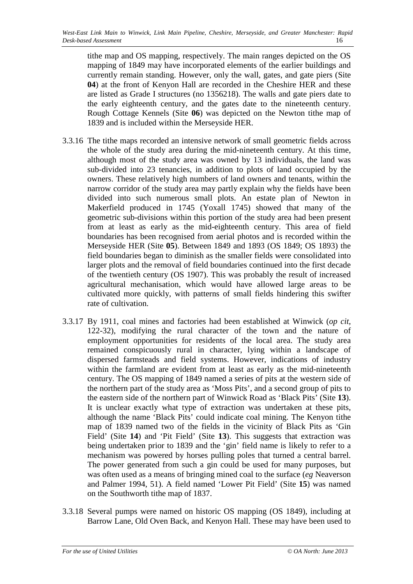tithe map and OS mapping, respectively. The main ranges depicted on the OS mapping of 1849 may have incorporated elements of the earlier buildings and currently remain standing. However, only the wall, gates, and gate piers (Site **04**) at the front of Kenyon Hall are recorded in the Cheshire HER and these are listed as Grade I structures (no 1356218). The walls and gate piers date to the early eighteenth century, and the gates date to the nineteenth century. Rough Cottage Kennels (Site **06**) was depicted on the Newton tithe map of 1839 and is included within the Merseyside HER.

- 3.3.16 The tithe maps recorded an intensive network of small geometric fields across the whole of the study area during the mid-nineteenth century. At this time, although most of the study area was owned by 13 individuals, the land was sub-divided into 23 tenancies, in addition to plots of land occupied by the owners. These relatively high numbers of land owners and tenants, within the narrow corridor of the study area may partly explain why the fields have been divided into such numerous small plots. An estate plan of Newton in Makerfield produced in 1745 (Yoxall 1745) showed that many of the geometric sub-divisions within this portion of the study area had been present from at least as early as the mid-eighteenth century. This area of field boundaries has been recognised from aerial photos and is recorded within the Merseyside HER (Site **05**). Between 1849 and 1893 (OS 1849; OS 1893) the field boundaries began to diminish as the smaller fields were consolidated into larger plots and the removal of field boundaries continued into the first decade of the twentieth century (OS 1907). This was probably the result of increased agricultural mechanisation, which would have allowed large areas to be cultivated more quickly, with patterns of small fields hindering this swifter rate of cultivation.
- 3.3.17 By 1911, coal mines and factories had been established at Winwick (*op cit*, 122-32), modifying the rural character of the town and the nature of employment opportunities for residents of the local area. The study area remained conspicuously rural in character, lying within a landscape of dispersed farmsteads and field systems. However, indications of industry within the farmland are evident from at least as early as the mid-nineteenth century. The OS mapping of 1849 named a series of pits at the western side of the northern part of the study area as 'Moss Pits', and a second group of pits to the eastern side of the northern part of Winwick Road as 'Black Pits' (Site **13**). It is unclear exactly what type of extraction was undertaken at these pits, although the name 'Black Pits' could indicate coal mining. The Kenyon tithe map of 1839 named two of the fields in the vicinity of Black Pits as 'Gin Field' (Site **14**) and 'Pit Field' (Site **13**). This suggests that extraction was being undertaken prior to 1839 and the 'gin' field name is likely to refer to a mechanism was powered by horses pulling poles that turned a central barrel. The power generated from such a gin could be used for many purposes, but was often used as a means of bringing mined coal to the surface (*eg* Neaverson and Palmer 1994, 51). A field named 'Lower Pit Field' (Site **15**) was named on the Southworth tithe map of 1837.
- 3.3.18 Several pumps were named on historic OS mapping (OS 1849), including at Barrow Lane, Old Oven Back, and Kenyon Hall. These may have been used to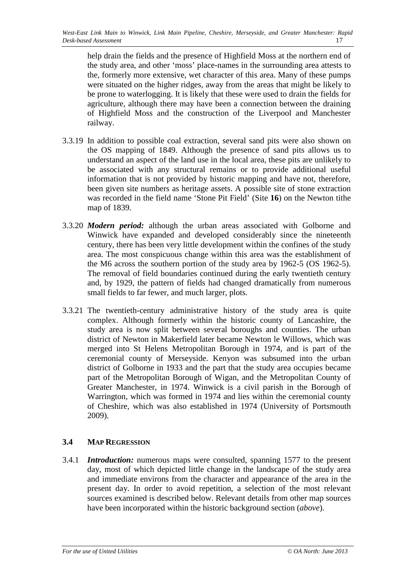help drain the fields and the presence of Highfield Moss at the northern end of the study area, and other 'moss' place-names in the surrounding area attests to the, formerly more extensive, wet character of this area. Many of these pumps were situated on the higher ridges, away from the areas that might be likely to be prone to waterlogging. It is likely that these were used to drain the fields for agriculture, although there may have been a connection between the draining of Highfield Moss and the construction of the Liverpool and Manchester railway.

- 3.3.19 In addition to possible coal extraction, several sand pits were also shown on the OS mapping of 1849. Although the presence of sand pits allows us to understand an aspect of the land use in the local area, these pits are unlikely to be associated with any structural remains or to provide additional useful information that is not provided by historic mapping and have not, therefore, been given site numbers as heritage assets. A possible site of stone extraction was recorded in the field name 'Stone Pit Field' (Site **16**) on the Newton tithe map of 1839.
- 3.3.20 *Modern period:* although the urban areas associated with Golborne and Winwick have expanded and developed considerably since the nineteenth century, there has been very little development within the confines of the study area. The most conspicuous change within this area was the establishment of the M6 across the southern portion of the study area by 1962-5 (OS 1962-5). The removal of field boundaries continued during the early twentieth century and, by 1929, the pattern of fields had changed dramatically from numerous small fields to far fewer, and much larger, plots.
- 3.3.21 The twentieth-century administrative history of the study area is quite complex. Although formerly within the historic county of Lancashire, the study area is now split between several boroughs and counties. The urban district of Newton in Makerfield later became Newton le Willows, which was merged into St Helens Metropolitan Borough in 1974, and is part of the ceremonial county of Merseyside. Kenyon was subsumed into the urban district of Golborne in 1933 and the part that the study area occupies became part of the Metropolitan Borough of Wigan, and the Metropolitan County of Greater Manchester, in 1974. Winwick is a civil parish in the Borough of Warrington, which was formed in 1974 and lies within the ceremonial county of Cheshire, which was also established in 1974 (University of Portsmouth 2009).

### **3.4 MAP REGRESSION**

3.4.1 *Introduction:* numerous maps were consulted, spanning 1577 to the present day, most of which depicted little change in the landscape of the study area and immediate environs from the character and appearance of the area in the present day. In order to avoid repetition, a selection of the most relevant sources examined is described below. Relevant details from other map sources have been incorporated within the historic background section (*above*).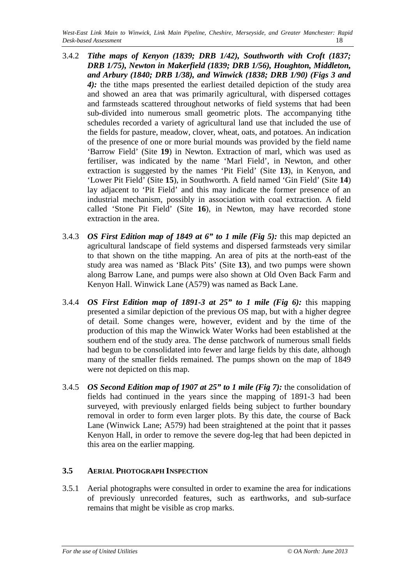- 3.4.2 *Tithe maps of Kenyon (1839; DRB 1/42), Southworth with Croft (1837; DRB 1/75), Newton in Makerfield (1839; DRB 1/56), Houghton, Middleton, and Arbury (1840; DRB 1/38), and Winwick (1838; DRB 1/90) (Figs 3 and 4):* the tithe maps presented the earliest detailed depiction of the study area and showed an area that was primarily agricultural, with dispersed cottages and farmsteads scattered throughout networks of field systems that had been sub-divided into numerous small geometric plots. The accompanying tithe schedules recorded a variety of agricultural land use that included the use of the fields for pasture, meadow, clover, wheat, oats, and potatoes. An indication of the presence of one or more burial mounds was provided by the field name 'Barrow Field' (Site **19**) in Newton. Extraction of marl, which was used as fertiliser, was indicated by the name 'Marl Field', in Newton, and other extraction is suggested by the names 'Pit Field' (Site **13**), in Kenyon, and 'Lower Pit Field' (Site **15**), in Southworth. A field named 'Gin Field' (Site **14**) lay adjacent to 'Pit Field' and this may indicate the former presence of an industrial mechanism, possibly in association with coal extraction. A field called 'Stone Pit Field' (Site **16**), in Newton, may have recorded stone extraction in the area.
- 3.4.3 *OS First Edition map of 1849 at 6" to 1 mile (Fig 5):* this map depicted an agricultural landscape of field systems and dispersed farmsteads very similar to that shown on the tithe mapping. An area of pits at the north-east of the study area was named as 'Black Pits' (Site **13**), and two pumps were shown along Barrow Lane, and pumps were also shown at Old Oven Back Farm and Kenyon Hall. Winwick Lane (A579) was named as Back Lane.
- 3.4.4 *OS First Edition map of 1891-3 at 25" to 1 mile (Fig 6):* this mapping presented a similar depiction of the previous OS map, but with a higher degree of detail. Some changes were, however, evident and by the time of the production of this map the Winwick Water Works had been established at the southern end of the study area. The dense patchwork of numerous small fields had begun to be consolidated into fewer and large fields by this date, although many of the smaller fields remained. The pumps shown on the map of 1849 were not depicted on this map.
- 3.4.5 *OS Second Edition map of 1907 at 25" to 1 mile (Fig 7):* the consolidation of fields had continued in the years since the mapping of 1891-3 had been surveyed, with previously enlarged fields being subject to further boundary removal in order to form even larger plots. By this date, the course of Back Lane (Winwick Lane; A579) had been straightened at the point that it passes Kenyon Hall, in order to remove the severe dog-leg that had been depicted in this area on the earlier mapping.

### **3.5 AERIAL PHOTOGRAPH INSPECTION**

3.5.1 Aerial photographs were consulted in order to examine the area for indications of previously unrecorded features, such as earthworks, and sub-surface remains that might be visible as crop marks.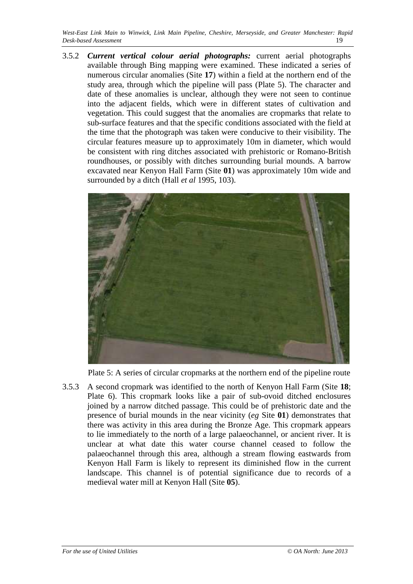3.5.2 *Current vertical colour aerial photographs:* current aerial photographs available through Bing mapping were examined. These indicated a series of numerous circular anomalies (Site **17**) within a field at the northern end of the study area, through which the pipeline will pass (Plate 5). The character and date of these anomalies is unclear, although they were not seen to continue into the adjacent fields, which were in different states of cultivation and vegetation. This could suggest that the anomalies are cropmarks that relate to sub-surface features and that the specific conditions associated with the field at the time that the photograph was taken were conducive to their visibility. The circular features measure up to approximately 10m in diameter, which would be consistent with ring ditches associated with prehistoric or Romano-British roundhouses, or possibly with ditches surrounding burial mounds. A barrow excavated near Kenyon Hall Farm (Site **01**) was approximately 10m wide and surrounded by a ditch (Hall *et al* 1995, 103).



Plate 5: A series of circular cropmarks at the northern end of the pipeline route

3.5.3 A second cropmark was identified to the north of Kenyon Hall Farm (Site **18**; Plate 6). This cropmark looks like a pair of sub-ovoid ditched enclosures joined by a narrow ditched passage. This could be of prehistoric date and the presence of burial mounds in the near vicinity (*eg* Site **01**) demonstrates that there was activity in this area during the Bronze Age. This cropmark appears to lie immediately to the north of a large palaeochannel, or ancient river. It is unclear at what date this water course channel ceased to follow the palaeochannel through this area, although a stream flowing eastwards from Kenyon Hall Farm is likely to represent its diminished flow in the current landscape. This channel is of potential significance due to records of a medieval water mill at Kenyon Hall (Site **05**).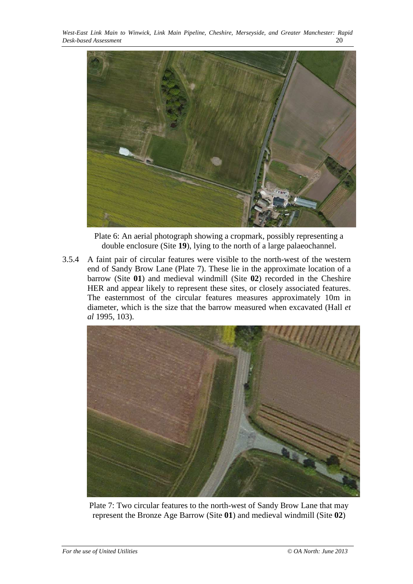

Plate 6: An aerial photograph showing a cropmark, possibly representing a double enclosure (Site **19**), lying to the north of a large palaeochannel.

3.5.4 A faint pair of circular features were visible to the north-west of the western end of Sandy Brow Lane (Plate 7). These lie in the approximate location of a barrow (Site **01**) and medieval windmill (Site **02**) recorded in the Cheshire HER and appear likely to represent these sites, or closely associated features. The easternmost of the circular features measures approximately 10m in diameter, which is the size that the barrow measured when excavated (Hall *et al* 1995, 103).



Plate 7: Two circular features to the north-west of Sandy Brow Lane that may represent the Bronze Age Barrow (Site **01**) and medieval windmill (Site **02**)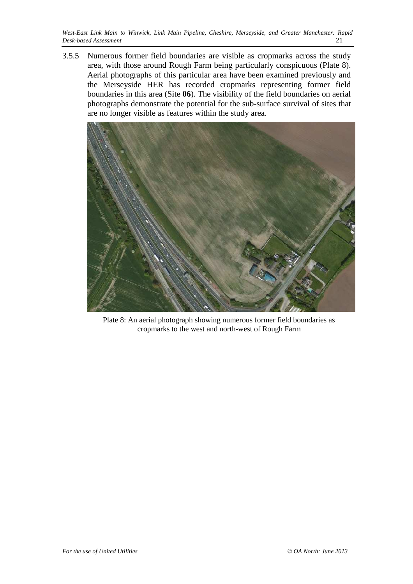3.5.5 Numerous former field boundaries are visible as cropmarks across the study area, with those around Rough Farm being particularly conspicuous (Plate 8). Aerial photographs of this particular area have been examined previously and the Merseyside HER has recorded cropmarks representing former field boundaries in this area (Site **06**). The visibility of the field boundaries on aerial photographs demonstrate the potential for the sub-surface survival of sites that are no longer visible as features within the study area.



Plate 8: An aerial photograph showing numerous former field boundaries as cropmarks to the west and north-west of Rough Farm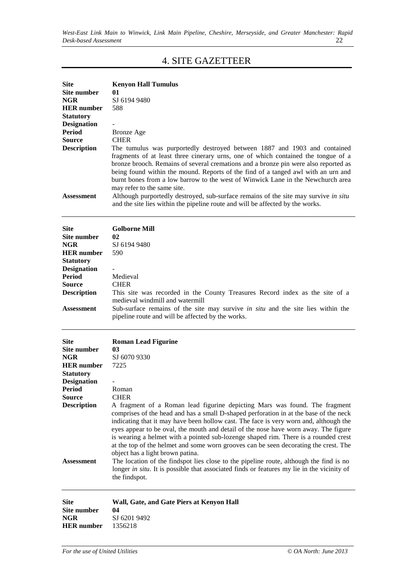| 4. SITE GAZETTEER |
|-------------------|
|-------------------|

| <b>Site</b><br>Site number<br><b>NGR</b><br><b>HER</b> number<br><b>Statutory</b><br><b>Designation</b><br><b>Period</b><br>Source<br><b>Description</b><br><b>Assessment</b> | <b>Kenyon Hall Tumulus</b><br>01<br>SJ 6194 9480<br>588<br><b>Bronze</b> Age<br><b>CHER</b><br>The tumulus was purportedly destroyed between 1887 and 1903 and contained<br>fragments of at least three cinerary urns, one of which contained the tongue of a<br>bronze brooch. Remains of several cremations and a bronze pin were also reported as<br>being found within the mound. Reports of the find of a tanged awl with an urn and<br>burnt bones from a low barrow to the west of Winwick Lane in the Newchurch area<br>may refer to the same site.<br>Although purportedly destroyed, sub-surface remains of the site may survive in situ<br>and the site lies within the pipeline route and will be affected by the works. |
|-------------------------------------------------------------------------------------------------------------------------------------------------------------------------------|--------------------------------------------------------------------------------------------------------------------------------------------------------------------------------------------------------------------------------------------------------------------------------------------------------------------------------------------------------------------------------------------------------------------------------------------------------------------------------------------------------------------------------------------------------------------------------------------------------------------------------------------------------------------------------------------------------------------------------------|
| <b>Site</b>                                                                                                                                                                   | <b>Golborne Mill</b>                                                                                                                                                                                                                                                                                                                                                                                                                                                                                                                                                                                                                                                                                                                 |
| Site number                                                                                                                                                                   | 02                                                                                                                                                                                                                                                                                                                                                                                                                                                                                                                                                                                                                                                                                                                                   |
| <b>NGR</b>                                                                                                                                                                    | SJ 6194 9480                                                                                                                                                                                                                                                                                                                                                                                                                                                                                                                                                                                                                                                                                                                         |
| <b>HER</b> number                                                                                                                                                             | 590                                                                                                                                                                                                                                                                                                                                                                                                                                                                                                                                                                                                                                                                                                                                  |
| <b>Statutory</b>                                                                                                                                                              |                                                                                                                                                                                                                                                                                                                                                                                                                                                                                                                                                                                                                                                                                                                                      |
| <b>Designation</b>                                                                                                                                                            |                                                                                                                                                                                                                                                                                                                                                                                                                                                                                                                                                                                                                                                                                                                                      |
| <b>Period</b>                                                                                                                                                                 | Medieval                                                                                                                                                                                                                                                                                                                                                                                                                                                                                                                                                                                                                                                                                                                             |
| Source                                                                                                                                                                        | <b>CHER</b>                                                                                                                                                                                                                                                                                                                                                                                                                                                                                                                                                                                                                                                                                                                          |
| <b>Description</b>                                                                                                                                                            | This site was recorded in the County Treasures Record index as the site of a                                                                                                                                                                                                                                                                                                                                                                                                                                                                                                                                                                                                                                                         |
|                                                                                                                                                                               | medieval windmill and watermill                                                                                                                                                                                                                                                                                                                                                                                                                                                                                                                                                                                                                                                                                                      |
| Assessment                                                                                                                                                                    | Sub-surface remains of the site may survive in situ and the site lies within the<br>pipeline route and will be affected by the works.                                                                                                                                                                                                                                                                                                                                                                                                                                                                                                                                                                                                |
| <b>Site</b>                                                                                                                                                                   | <b>Roman Lead Figurine</b>                                                                                                                                                                                                                                                                                                                                                                                                                                                                                                                                                                                                                                                                                                           |
| Site number                                                                                                                                                                   | 03                                                                                                                                                                                                                                                                                                                                                                                                                                                                                                                                                                                                                                                                                                                                   |
| <b>NGR</b>                                                                                                                                                                    | SJ 6070 9330                                                                                                                                                                                                                                                                                                                                                                                                                                                                                                                                                                                                                                                                                                                         |
| <b>HER</b> number                                                                                                                                                             | 7225                                                                                                                                                                                                                                                                                                                                                                                                                                                                                                                                                                                                                                                                                                                                 |
| <b>Statutory</b>                                                                                                                                                              |                                                                                                                                                                                                                                                                                                                                                                                                                                                                                                                                                                                                                                                                                                                                      |
| <b>Designation</b>                                                                                                                                                            |                                                                                                                                                                                                                                                                                                                                                                                                                                                                                                                                                                                                                                                                                                                                      |
| Period<br>Source                                                                                                                                                              | Roman<br><b>CHER</b>                                                                                                                                                                                                                                                                                                                                                                                                                                                                                                                                                                                                                                                                                                                 |
| <b>Description</b>                                                                                                                                                            | A fragment of a Roman lead figurine depicting Mars was found. The fragment                                                                                                                                                                                                                                                                                                                                                                                                                                                                                                                                                                                                                                                           |
|                                                                                                                                                                               | comprises of the head and has a small D-shaped perforation in at the base of the neck<br>indicating that it may have been hollow cast. The face is very worn and, although the<br>eyes appear to be oval, the mouth and detail of the nose have worn away. The figure<br>is wearing a helmet with a pointed sub-lozenge shaped rim. There is a rounded crest<br>at the top of the helmet and some worn grooves can be seen decorating the crest. The                                                                                                                                                                                                                                                                                 |
| <b>Assessment</b>                                                                                                                                                             | object has a light brown patina.<br>The location of the findspot lies close to the pipeline route, although the find is no<br>longer in situ. It is possible that associated finds or features my lie in the vicinity of<br>the findspot.                                                                                                                                                                                                                                                                                                                                                                                                                                                                                            |
| <b>Site</b><br>Site number                                                                                                                                                    | Wall, Gate, and Gate Piers at Kenyon Hall<br>nл                                                                                                                                                                                                                                                                                                                                                                                                                                                                                                                                                                                                                                                                                      |

| wall, Gate, and Gate Piers at K |
|---------------------------------|
| 04                              |
| SJ 6201 9492                    |
| 1356218                         |
|                                 |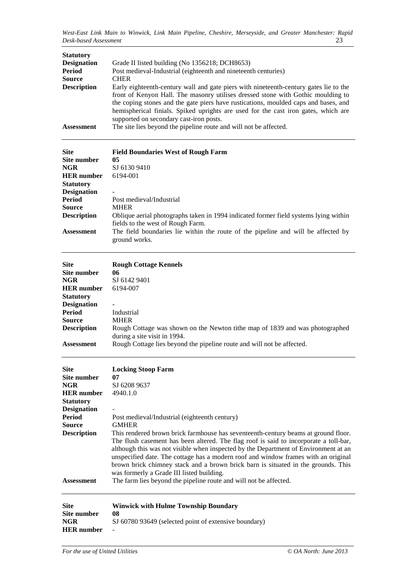| <b>Statutory</b><br><b>Designation</b><br><b>Period</b><br>Source<br><b>Description</b><br><b>Assessment</b> | Grade II listed building (No 1356218; DCH8653)<br>Post medieval-Industrial (eighteenth and nineteenth centuries)<br><b>CHER</b><br>Early eighteenth-century wall and gate piers with nineteenth-century gates lie to the<br>front of Kenyon Hall. The masonry utilises dressed stone with Gothic moulding to<br>the coping stones and the gate piers have rustications, moulded caps and bases, and<br>hemispherical finials. Spiked uprights are used for the cast iron gates, which are<br>supported on secondary cast-iron posts.<br>The site lies beyond the pipeline route and will not be affected. |
|--------------------------------------------------------------------------------------------------------------|-----------------------------------------------------------------------------------------------------------------------------------------------------------------------------------------------------------------------------------------------------------------------------------------------------------------------------------------------------------------------------------------------------------------------------------------------------------------------------------------------------------------------------------------------------------------------------------------------------------|
|                                                                                                              |                                                                                                                                                                                                                                                                                                                                                                                                                                                                                                                                                                                                           |
| <b>Site</b>                                                                                                  | <b>Field Boundaries West of Rough Farm</b>                                                                                                                                                                                                                                                                                                                                                                                                                                                                                                                                                                |
| Site number                                                                                                  | 05                                                                                                                                                                                                                                                                                                                                                                                                                                                                                                                                                                                                        |
| <b>NGR</b>                                                                                                   | SJ 6130 9410                                                                                                                                                                                                                                                                                                                                                                                                                                                                                                                                                                                              |
| <b>HER</b> number                                                                                            | 6194-001                                                                                                                                                                                                                                                                                                                                                                                                                                                                                                                                                                                                  |
| <b>Statutory</b>                                                                                             |                                                                                                                                                                                                                                                                                                                                                                                                                                                                                                                                                                                                           |
| <b>Designation</b><br><b>Period</b>                                                                          | Post medieval/Industrial                                                                                                                                                                                                                                                                                                                                                                                                                                                                                                                                                                                  |
| Source                                                                                                       | <b>MHER</b>                                                                                                                                                                                                                                                                                                                                                                                                                                                                                                                                                                                               |
| <b>Description</b>                                                                                           | Oblique aerial photographs taken in 1994 indicated former field systems lying within                                                                                                                                                                                                                                                                                                                                                                                                                                                                                                                      |
|                                                                                                              | fields to the west of Rough Farm.                                                                                                                                                                                                                                                                                                                                                                                                                                                                                                                                                                         |
| <b>Assessment</b>                                                                                            | The field boundaries lie within the route of the pipeline and will be affected by                                                                                                                                                                                                                                                                                                                                                                                                                                                                                                                         |
|                                                                                                              | ground works.                                                                                                                                                                                                                                                                                                                                                                                                                                                                                                                                                                                             |
| <b>Site</b>                                                                                                  | <b>Rough Cottage Kennels</b>                                                                                                                                                                                                                                                                                                                                                                                                                                                                                                                                                                              |
| Site number                                                                                                  | 06                                                                                                                                                                                                                                                                                                                                                                                                                                                                                                                                                                                                        |
| <b>NGR</b>                                                                                                   | SJ 6142 9401                                                                                                                                                                                                                                                                                                                                                                                                                                                                                                                                                                                              |
| <b>HER</b> number                                                                                            | 6194-007                                                                                                                                                                                                                                                                                                                                                                                                                                                                                                                                                                                                  |
| <b>Statutory</b>                                                                                             |                                                                                                                                                                                                                                                                                                                                                                                                                                                                                                                                                                                                           |
| <b>Designation</b>                                                                                           |                                                                                                                                                                                                                                                                                                                                                                                                                                                                                                                                                                                                           |
| <b>Period</b>                                                                                                | Industrial                                                                                                                                                                                                                                                                                                                                                                                                                                                                                                                                                                                                |
| Source                                                                                                       | <b>MHER</b>                                                                                                                                                                                                                                                                                                                                                                                                                                                                                                                                                                                               |
| <b>Description</b>                                                                                           | Rough Cottage was shown on the Newton tithe map of 1839 and was photographed                                                                                                                                                                                                                                                                                                                                                                                                                                                                                                                              |
|                                                                                                              | during a site visit in 1994.                                                                                                                                                                                                                                                                                                                                                                                                                                                                                                                                                                              |
| <b>Assessment</b>                                                                                            | Rough Cottage lies beyond the pipeline route and will not be affected.                                                                                                                                                                                                                                                                                                                                                                                                                                                                                                                                    |
| <b>Site</b>                                                                                                  | <b>Locking Stoop Farm</b>                                                                                                                                                                                                                                                                                                                                                                                                                                                                                                                                                                                 |
| Site number                                                                                                  | 07                                                                                                                                                                                                                                                                                                                                                                                                                                                                                                                                                                                                        |
| <b>NGR</b>                                                                                                   | SJ 6208 9637                                                                                                                                                                                                                                                                                                                                                                                                                                                                                                                                                                                              |
| <b>HER</b> number                                                                                            | 4940.1.0                                                                                                                                                                                                                                                                                                                                                                                                                                                                                                                                                                                                  |
| <b>Statutory</b>                                                                                             |                                                                                                                                                                                                                                                                                                                                                                                                                                                                                                                                                                                                           |
| <b>Designation</b>                                                                                           |                                                                                                                                                                                                                                                                                                                                                                                                                                                                                                                                                                                                           |
| <b>Period</b>                                                                                                | Post medieval/Industrial (eighteenth century)                                                                                                                                                                                                                                                                                                                                                                                                                                                                                                                                                             |
| Source                                                                                                       | <b>GMHER</b>                                                                                                                                                                                                                                                                                                                                                                                                                                                                                                                                                                                              |
| <b>Description</b>                                                                                           | This rendered brown brick farmhouse has seventeenth-century beams at ground floor.                                                                                                                                                                                                                                                                                                                                                                                                                                                                                                                        |
|                                                                                                              | The flush casement has been altered. The flag roof is said to incorporate a toll-bar,                                                                                                                                                                                                                                                                                                                                                                                                                                                                                                                     |
|                                                                                                              | although this was not visible when inspected by the Department of Environment at an                                                                                                                                                                                                                                                                                                                                                                                                                                                                                                                       |
|                                                                                                              | unspecified date. The cottage has a modern roof and window frames with an original                                                                                                                                                                                                                                                                                                                                                                                                                                                                                                                        |
|                                                                                                              | brown brick chimney stack and a brown brick barn is situated in the grounds. This                                                                                                                                                                                                                                                                                                                                                                                                                                                                                                                         |
| <b>Assessment</b>                                                                                            | was formerly a Grade III listed building.<br>The farm lies beyond the pipeline route and will not be affected.                                                                                                                                                                                                                                                                                                                                                                                                                                                                                            |
|                                                                                                              |                                                                                                                                                                                                                                                                                                                                                                                                                                                                                                                                                                                                           |
| <b>Site</b>                                                                                                  | <b>Winwick with Hulme Township Boundary</b>                                                                                                                                                                                                                                                                                                                                                                                                                                                                                                                                                               |
| Site number<br><b>NGR</b>                                                                                    | 08                                                                                                                                                                                                                                                                                                                                                                                                                                                                                                                                                                                                        |
| <b>HER</b> number                                                                                            | SJ 60780 93649 (selected point of extensive boundary)                                                                                                                                                                                                                                                                                                                                                                                                                                                                                                                                                     |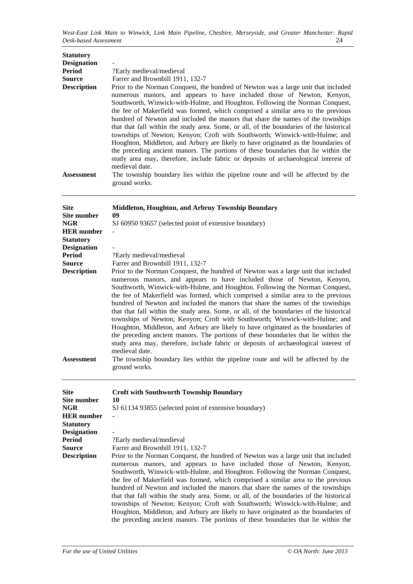| <b>Statutory</b><br><b>Designation</b><br><b>Period</b><br><b>Source</b><br><b>Description</b><br><b>Assessment</b> | ?Early medieval/medieval<br>Farrer and Brownbill 1911, 132-7<br>Prior to the Norman Conquest, the hundred of Newton was a large unit that included<br>numerous manors, and appears to have included those of Newton, Kenyon,<br>Southworth, Winwick-with-Hulme, and Houghton. Following the Norman Conquest,<br>the fee of Makerfield was formed, which comprised a similar area to the previous<br>hundred of Newton and included the manors that share the names of the townships<br>that that fall within the study area. Some, or all, of the boundaries of the historical<br>townships of Newton; Kenyon; Croft with Southworth; Winwick-with-Hulme; and<br>Houghton, Middleton, and Arbury are likely to have originated as the boundaries of<br>the preceding ancient manors. The portions of these boundaries that lie within the<br>study area may, therefore, include fabric or deposits of archaeological interest of<br>medieval date.<br>The township boundary lies within the pipeline route and will be affected by the<br>ground works. |
|---------------------------------------------------------------------------------------------------------------------|---------------------------------------------------------------------------------------------------------------------------------------------------------------------------------------------------------------------------------------------------------------------------------------------------------------------------------------------------------------------------------------------------------------------------------------------------------------------------------------------------------------------------------------------------------------------------------------------------------------------------------------------------------------------------------------------------------------------------------------------------------------------------------------------------------------------------------------------------------------------------------------------------------------------------------------------------------------------------------------------------------------------------------------------------------|
| <b>Site</b>                                                                                                         | Middleton, Houghton, and Arbruy Township Boundary                                                                                                                                                                                                                                                                                                                                                                                                                                                                                                                                                                                                                                                                                                                                                                                                                                                                                                                                                                                                       |
| Site number<br><b>NGR</b>                                                                                           | 09<br>SJ 60950 93657 (selected point of extensive boundary)                                                                                                                                                                                                                                                                                                                                                                                                                                                                                                                                                                                                                                                                                                                                                                                                                                                                                                                                                                                             |
| <b>HER</b> number                                                                                                   |                                                                                                                                                                                                                                                                                                                                                                                                                                                                                                                                                                                                                                                                                                                                                                                                                                                                                                                                                                                                                                                         |
| <b>Statutory</b>                                                                                                    |                                                                                                                                                                                                                                                                                                                                                                                                                                                                                                                                                                                                                                                                                                                                                                                                                                                                                                                                                                                                                                                         |
| <b>Designation</b>                                                                                                  |                                                                                                                                                                                                                                                                                                                                                                                                                                                                                                                                                                                                                                                                                                                                                                                                                                                                                                                                                                                                                                                         |
| <b>Period</b>                                                                                                       | ?Early medieval/medieval                                                                                                                                                                                                                                                                                                                                                                                                                                                                                                                                                                                                                                                                                                                                                                                                                                                                                                                                                                                                                                |
| <b>Source</b>                                                                                                       | Farrer and Brownbill 1911, 132-7                                                                                                                                                                                                                                                                                                                                                                                                                                                                                                                                                                                                                                                                                                                                                                                                                                                                                                                                                                                                                        |
| <b>Description</b><br><b>Assessment</b>                                                                             | Prior to the Norman Conquest, the hundred of Newton was a large unit that included<br>numerous manors, and appears to have included those of Newton, Kenyon,<br>Southworth, Winwick-with-Hulme, and Houghton. Following the Norman Conquest,<br>the fee of Makerfield was formed, which comprised a similar area to the previous<br>hundred of Newton and included the manors that share the names of the townships<br>that that fall within the study area. Some, or all, of the boundaries of the historical<br>townships of Newton; Kenyon; Croft with Southworth; Winwick-with-Hulme; and<br>Houghton, Middleton, and Arbury are likely to have originated as the boundaries of<br>the preceding ancient manors. The portions of these boundaries that lie within the<br>study area may, therefore, include fabric or deposits of archaeological interest of<br>medieval date.<br>The township boundary lies within the pipeline route and will be affected by the                                                                                  |
|                                                                                                                     | ground works.                                                                                                                                                                                                                                                                                                                                                                                                                                                                                                                                                                                                                                                                                                                                                                                                                                                                                                                                                                                                                                           |
| <b>Site</b>                                                                                                         | <b>Croft with Southworth Township Boundary</b>                                                                                                                                                                                                                                                                                                                                                                                                                                                                                                                                                                                                                                                                                                                                                                                                                                                                                                                                                                                                          |
| <b>Site number</b>                                                                                                  | 10                                                                                                                                                                                                                                                                                                                                                                                                                                                                                                                                                                                                                                                                                                                                                                                                                                                                                                                                                                                                                                                      |
| <b>NGR</b>                                                                                                          | SJ 61134 93855 (selected point of extensive boundary)                                                                                                                                                                                                                                                                                                                                                                                                                                                                                                                                                                                                                                                                                                                                                                                                                                                                                                                                                                                                   |
| <b>HER</b> number                                                                                                   |                                                                                                                                                                                                                                                                                                                                                                                                                                                                                                                                                                                                                                                                                                                                                                                                                                                                                                                                                                                                                                                         |
| <b>Statutory</b>                                                                                                    |                                                                                                                                                                                                                                                                                                                                                                                                                                                                                                                                                                                                                                                                                                                                                                                                                                                                                                                                                                                                                                                         |
| <b>Designation</b><br><b>Period</b>                                                                                 | ?Early medieval/medieval                                                                                                                                                                                                                                                                                                                                                                                                                                                                                                                                                                                                                                                                                                                                                                                                                                                                                                                                                                                                                                |
| <b>Source</b><br>Farrer and Brownbill 1911, 132-7                                                                   |                                                                                                                                                                                                                                                                                                                                                                                                                                                                                                                                                                                                                                                                                                                                                                                                                                                                                                                                                                                                                                                         |
| <b>Description</b>                                                                                                  | Prior to the Norman Conquest, the hundred of Newton was a large unit that included<br>numerous manors, and appears to have included those of Newton, Kenyon,<br>Southworth, Winwick-with-Hulme, and Houghton. Following the Norman Conquest,<br>the fee of Makerfield was formed, which comprised a similar area to the previous<br>hundred of Newton and included the manors that share the names of the townships<br>that that fall within the study area. Some, or all, of the boundaries of the historical<br>townships of Newton; Kenyon; Croft with Southworth; Winwick-with-Hulme; and<br>Houghton, Middleton, and Arbury are likely to have originated as the boundaries of<br>the preceding ancient manors. The portions of these boundaries that lie within the                                                                                                                                                                                                                                                                               |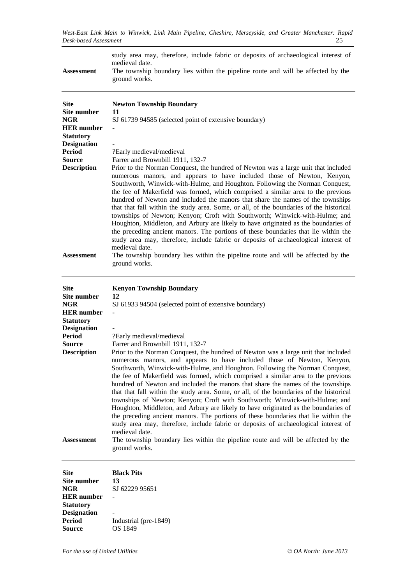| <b>Assessment</b>                                                                 | study area may, therefore, include fabric or deposits of archaeological interest of<br>medieval date.<br>The township boundary lies within the pipeline route and will be affected by the<br>ground works.                                                                                                                                                                                                                                                                                                                                                                                                                                                                                                                                                                                                                                                                                                                                                                                                                  |  |
|-----------------------------------------------------------------------------------|-----------------------------------------------------------------------------------------------------------------------------------------------------------------------------------------------------------------------------------------------------------------------------------------------------------------------------------------------------------------------------------------------------------------------------------------------------------------------------------------------------------------------------------------------------------------------------------------------------------------------------------------------------------------------------------------------------------------------------------------------------------------------------------------------------------------------------------------------------------------------------------------------------------------------------------------------------------------------------------------------------------------------------|--|
| <b>Site</b><br>Site number<br><b>NGR</b><br><b>HER</b> number<br><b>Statutory</b> | <b>Newton Township Boundary</b><br>11<br>SJ 61739 94585 (selected point of extensive boundary)                                                                                                                                                                                                                                                                                                                                                                                                                                                                                                                                                                                                                                                                                                                                                                                                                                                                                                                              |  |
| <b>Designation</b><br><b>Period</b>                                               | ?Early medieval/medieval                                                                                                                                                                                                                                                                                                                                                                                                                                                                                                                                                                                                                                                                                                                                                                                                                                                                                                                                                                                                    |  |
| <b>Source</b>                                                                     | Farrer and Brownbill 1911, 132-7                                                                                                                                                                                                                                                                                                                                                                                                                                                                                                                                                                                                                                                                                                                                                                                                                                                                                                                                                                                            |  |
| <b>Description</b>                                                                | Prior to the Norman Conquest, the hundred of Newton was a large unit that included<br>numerous manors, and appears to have included those of Newton, Kenyon,<br>Southworth, Winwick-with-Hulme, and Houghton. Following the Norman Conquest,<br>the fee of Makerfield was formed, which comprised a similar area to the previous<br>hundred of Newton and included the manors that share the names of the townships<br>that that fall within the study area. Some, or all, of the boundaries of the historical<br>townships of Newton; Kenyon; Croft with Southworth; Winwick-with-Hulme; and<br>Houghton, Middleton, and Arbury are likely to have originated as the boundaries of<br>the preceding ancient manors. The portions of these boundaries that lie within the<br>study area may, therefore, include fabric or deposits of archaeological interest of<br>medieval date.                                                                                                                                          |  |
| <b>Assessment</b>                                                                 | The township boundary lies within the pipeline route and will be affected by the<br>ground works.                                                                                                                                                                                                                                                                                                                                                                                                                                                                                                                                                                                                                                                                                                                                                                                                                                                                                                                           |  |
| <b>Site</b><br>Site number<br><b>NGR</b><br><b>HER</b> number                     | <b>Kenyon Township Boundary</b><br>12<br>SJ 61933 94504 (selected point of extensive boundary)                                                                                                                                                                                                                                                                                                                                                                                                                                                                                                                                                                                                                                                                                                                                                                                                                                                                                                                              |  |
| <b>Statutory</b><br><b>Designation</b>                                            |                                                                                                                                                                                                                                                                                                                                                                                                                                                                                                                                                                                                                                                                                                                                                                                                                                                                                                                                                                                                                             |  |
| <b>Period</b>                                                                     | ?Early medieval/medieval                                                                                                                                                                                                                                                                                                                                                                                                                                                                                                                                                                                                                                                                                                                                                                                                                                                                                                                                                                                                    |  |
| <b>Source</b><br><b>Description</b><br><b>Assessment</b>                          | Farrer and Brownbill 1911, 132-7<br>Prior to the Norman Conquest, the hundred of Newton was a large unit that included<br>numerous manors, and appears to have included those of Newton, Kenyon,<br>Southworth, Winwick-with-Hulme, and Houghton. Following the Norman Conquest,<br>the fee of Makerfield was formed, which comprised a similar area to the previous<br>hundred of Newton and included the manors that share the names of the townships<br>that that fall within the study area. Some, or all, of the boundaries of the historical<br>townships of Newton; Kenyon; Croft with Southworth; Winwick-with-Hulme; and<br>Houghton, Middleton, and Arbury are likely to have originated as the boundaries of<br>the preceding ancient manors. The portions of these boundaries that lie within the<br>study area may, therefore, include fabric or deposits of archaeological interest of<br>medieval date.<br>The township boundary lies within the pipeline route and will be affected by the<br>ground works. |  |
|                                                                                   |                                                                                                                                                                                                                                                                                                                                                                                                                                                                                                                                                                                                                                                                                                                                                                                                                                                                                                                                                                                                                             |  |
| <b>Site</b><br>Site number<br><b>NGR</b><br><b>HER</b> number                     | <b>Black Pits</b><br>13<br>SJ 62229 95651                                                                                                                                                                                                                                                                                                                                                                                                                                                                                                                                                                                                                                                                                                                                                                                                                                                                                                                                                                                   |  |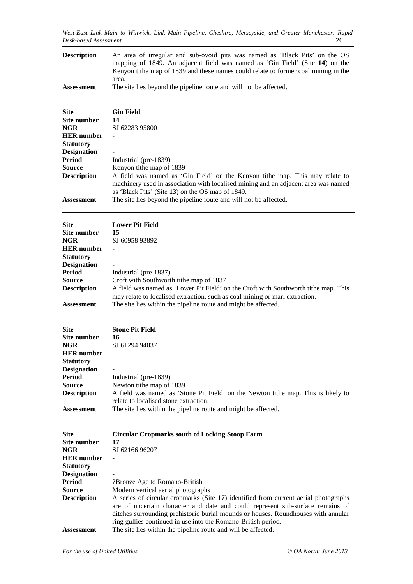| <b>Description</b><br><b>Assessment</b>                                                                 | An area of irregular and sub-ovoid pits was named as 'Black Pits' on the OS<br>mapping of 1849. An adjacent field was named as 'Gin Field' (Site 14) on the<br>Kenyon tithe map of 1839 and these names could relate to former coal mining in the<br>area.<br>The site lies beyond the pipeline route and will not be affected. |  |
|---------------------------------------------------------------------------------------------------------|---------------------------------------------------------------------------------------------------------------------------------------------------------------------------------------------------------------------------------------------------------------------------------------------------------------------------------|--|
| <b>Site</b><br>Site number<br><b>NGR</b><br><b>HER</b> number<br><b>Statutory</b><br><b>Designation</b> | <b>Gin Field</b><br>14<br>SJ 62283 95800                                                                                                                                                                                                                                                                                        |  |
| <b>Period</b>                                                                                           | Industrial (pre-1839)                                                                                                                                                                                                                                                                                                           |  |
| <b>Source</b><br><b>Description</b>                                                                     | Kenyon tithe map of 1839<br>A field was named as 'Gin Field' on the Kenyon tithe map. This may relate to<br>machinery used in association with localised mining and an adjacent area was named<br>as 'Black Pits' (Site 13) on the OS map of 1849.                                                                              |  |
| <b>Assessment</b>                                                                                       | The site lies beyond the pipeline route and will not be affected.                                                                                                                                                                                                                                                               |  |
| <b>Site</b><br>Site number<br>NGR<br><b>HER</b> number                                                  | <b>Lower Pit Field</b><br>15<br>SJ 60958 93892                                                                                                                                                                                                                                                                                  |  |
| <b>Statutory</b>                                                                                        |                                                                                                                                                                                                                                                                                                                                 |  |
| <b>Designation</b>                                                                                      |                                                                                                                                                                                                                                                                                                                                 |  |
| <b>Period</b>                                                                                           | Industrial (pre-1837)                                                                                                                                                                                                                                                                                                           |  |
| <b>Source</b>                                                                                           | Croft with Southworth tithe map of 1837                                                                                                                                                                                                                                                                                         |  |
| <b>Description</b>                                                                                      | A field was named as 'Lower Pit Field' on the Croft with Southworth tithe map. This<br>may relate to localised extraction, such as coal mining or marl extraction.                                                                                                                                                              |  |
| Assessment                                                                                              | The site lies within the pipeline route and might be affected.                                                                                                                                                                                                                                                                  |  |
| <b>Site</b><br>Site number<br><b>NGR</b><br><b>HER</b> number                                           | <b>Stone Pit Field</b><br>16<br>SJ 61294 94037                                                                                                                                                                                                                                                                                  |  |
| <b>Statutory</b>                                                                                        |                                                                                                                                                                                                                                                                                                                                 |  |
| <b>Designation</b><br><b>Period</b>                                                                     | Industrial (pre-1839)                                                                                                                                                                                                                                                                                                           |  |
| <b>Source</b>                                                                                           | Newton tithe map of 1839                                                                                                                                                                                                                                                                                                        |  |
| A field was named as 'Stone Pit Field' on the Newton tithe map. This is likely to<br><b>Description</b> |                                                                                                                                                                                                                                                                                                                                 |  |
| <b>Assessment</b>                                                                                       | relate to localised stone extraction.<br>The site lies within the pipeline route and might be affected.                                                                                                                                                                                                                         |  |
| <b>Site</b><br>Site number                                                                              | <b>Circular Cropmarks south of Locking Stoop Farm</b><br>17                                                                                                                                                                                                                                                                     |  |
| <b>NGR</b>                                                                                              | SJ 62166 96207                                                                                                                                                                                                                                                                                                                  |  |
| <b>HER</b> number                                                                                       |                                                                                                                                                                                                                                                                                                                                 |  |
| <b>Statutory</b><br><b>Designation</b>                                                                  |                                                                                                                                                                                                                                                                                                                                 |  |
| <b>Period</b>                                                                                           | ?Bronze Age to Romano-British                                                                                                                                                                                                                                                                                                   |  |
| <b>Source</b><br><b>Description</b>                                                                     | Modern vertical aerial photographs<br>A series of circular cropmarks (Site 17) identified from current aerial photographs                                                                                                                                                                                                       |  |
|                                                                                                         | are of uncertain character and date and could represent sub-surface remains of<br>ditches surrounding prehistoric burial mounds or houses. Roundhouses with annular<br>ring gullies continued in use into the Romano-British period.                                                                                            |  |
| <b>Assessment</b>                                                                                       | The site lies within the pipeline route and will be affected.                                                                                                                                                                                                                                                                   |  |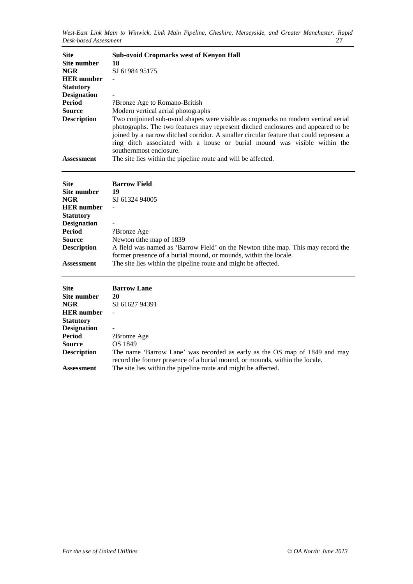| <b>Site</b><br>Site number<br><b>NGR</b><br><b>HER</b> number<br><b>Statutory</b><br><b>Designation</b><br><b>Period</b><br><b>Source</b><br><b>Description</b>                      | <b>Sub-ovoid Cropmarks west of Kenyon Hall</b><br>18<br>SJ 61984 95175<br>?Bronze Age to Romano-British<br>Modern vertical aerial photographs<br>Two conjoined sub-ovoid shapes were visible as cropmarks on modern vertical aerial<br>photographs. The two features may represent ditched enclosures and appeared to be<br>joined by a narrow ditched corridor. A smaller circular feature that could represent a<br>ring ditch associated with a house or burial mound was visible within the<br>southernmost enclosure. |
|--------------------------------------------------------------------------------------------------------------------------------------------------------------------------------------|----------------------------------------------------------------------------------------------------------------------------------------------------------------------------------------------------------------------------------------------------------------------------------------------------------------------------------------------------------------------------------------------------------------------------------------------------------------------------------------------------------------------------|
| <b>Assessment</b>                                                                                                                                                                    | The site lies within the pipeline route and will be affected.                                                                                                                                                                                                                                                                                                                                                                                                                                                              |
| <b>Site</b><br><b>Site number</b><br><b>NGR</b><br><b>HER</b> number<br><b>Statutory</b><br><b>Designation</b><br><b>Period</b><br><b>Source</b><br><b>Description</b><br>Assessment | <b>Barrow Field</b><br>19<br>SJ 61324 94005<br>?Bronze Age<br>Newton tithe map of 1839<br>A field was named as 'Barrow Field' on the Newton tithe map. This may record the<br>former presence of a burial mound, or mounds, within the locale.<br>The site lies within the pipeline route and might be affected.                                                                                                                                                                                                           |
| <b>Site</b><br>Site number<br><b>NGR</b><br><b>HER</b> number<br><b>Statutory</b><br><b>Designation</b><br><b>Period</b><br>Source                                                   | <b>Barrow Lane</b><br>20<br>SJ 61627 94391<br>?Bronze Age<br>OS 1849                                                                                                                                                                                                                                                                                                                                                                                                                                                       |

**Description** The name 'Barrow Lane' was recorded as early as the OS map of 1849 and may

Assessment The site lies within the pipeline route and might be affected.

record the former presence of a burial mound, or mounds, within the locale.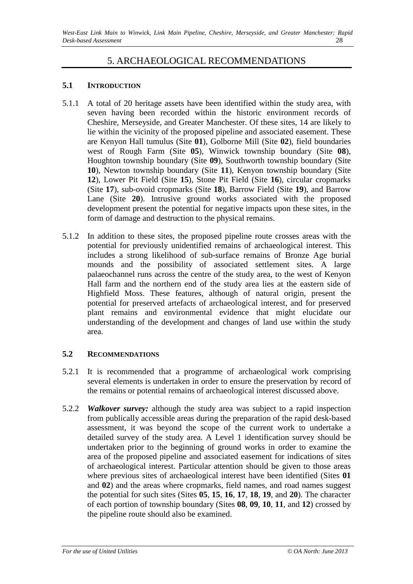# 5. ARCHAEOLOGICAL RECOMMENDATIONS

### **5.1 INTRODUCTION**

- 5.1.1 A total of 20 heritage assets have been identified within the study area, with seven having been recorded within the historic environment records of Cheshire, Merseyside, and Greater Manchester. Of these sites, 14 are likely to lie within the vicinity of the proposed pipeline and associated easement. These are Kenyon Hall tumulus (Site **01**), Golborne Mill (Site **02**), field boundaries west of Rough Farm (Site **05**), Winwick township boundary (Site **08**), Houghton township boundary (Site **09**), Southworth township boundary (Site **10**), Newton township boundary (Site **11**), Kenyon township boundary (Site **12**), Lower Pit Field (Site **15**), Stone Pit Field (Site **16**), circular cropmarks (Site **17**), sub-ovoid cropmarks (Site **18**), Barrow Field (Site **19**), and Barrow Lane (Site **20**). Intrusive ground works associated with the proposed development present the potential for negative impacts upon these sites, in the form of damage and destruction to the physical remains.
- 5.1.2 In addition to these sites, the proposed pipeline route crosses areas with the potential for previously unidentified remains of archaeological interest. This includes a strong likelihood of sub-surface remains of Bronze Age burial mounds and the possibility of associated settlement sites. A large palaeochannel runs across the centre of the study area, to the west of Kenyon Hall farm and the northern end of the study area lies at the eastern side of Highfield Moss. These features, although of natural origin, present the potential for preserved artefacts of archaeological interest, and for preserved plant remains and environmental evidence that might elucidate our understanding of the development and changes of land use within the study area.

### **5.2 RECOMMENDATIONS**

- 5.2.1 It is recommended that a programme of archaeological work comprising several elements is undertaken in order to ensure the preservation by record of the remains or potential remains of archaeological interest discussed above.
- 5.2.2 *Walkover survey:* although the study area was subject to a rapid inspection from publically accessible areas during the preparation of the rapid desk-based assessment, it was beyond the scope of the current work to undertake a detailed survey of the study area. A Level 1 identification survey should be undertaken prior to the beginning of ground works in order to examine the area of the proposed pipeline and associated easement for indications of sites of archaeological interest. Particular attention should be given to those areas where previous sites of archaeological interest have been identified (Sites **01** and **02**) and the areas where cropmarks, field names, and road names suggest the potential for such sites (Sites **05**, **15**, **16**, **17**, **18**, **19**, and **20**). The character of each portion of township boundary (Sites **08**, **09**, **10**, **11**, and **12**) crossed by the pipeline route should also be examined.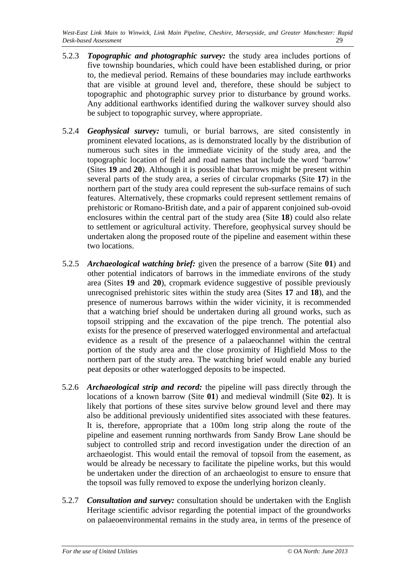- 5.2.3 *Topographic and photographic survey:* the study area includes portions of five township boundaries, which could have been established during, or prior to, the medieval period. Remains of these boundaries may include earthworks that are visible at ground level and, therefore, these should be subject to topographic and photographic survey prior to disturbance by ground works. Any additional earthworks identified during the walkover survey should also be subject to topographic survey, where appropriate.
- 5.2.4 *Geophysical survey:* tumuli, or burial barrows, are sited consistently in prominent elevated locations, as is demonstrated locally by the distribution of numerous such sites in the immediate vicinity of the study area, and the topographic location of field and road names that include the word 'barrow' (Sites **19** and **20**). Although it is possible that barrows might be present within several parts of the study area, a series of circular cropmarks (Site **17**) in the northern part of the study area could represent the sub-surface remains of such features. Alternatively, these cropmarks could represent settlement remains of prehistoric or Romano-British date, and a pair of apparent conjoined sub-ovoid enclosures within the central part of the study area (Site **18**) could also relate to settlement or agricultural activity. Therefore, geophysical survey should be undertaken along the proposed route of the pipeline and easement within these two locations.
- 5.2.5 *Archaeological watching brief:* given the presence of a barrow (Site **01**) and other potential indicators of barrows in the immediate environs of the study area (Sites **19** and **20**), cropmark evidence suggestive of possible previously unrecognised prehistoric sites within the study area (Sites **17** and **18**), and the presence of numerous barrows within the wider vicinity, it is recommended that a watching brief should be undertaken during all ground works, such as topsoil stripping and the excavation of the pipe trench. The potential also exists for the presence of preserved waterlogged environmental and artefactual evidence as a result of the presence of a palaeochannel within the central portion of the study area and the close proximity of Highfield Moss to the northern part of the study area. The watching brief would enable any buried peat deposits or other waterlogged deposits to be inspected.
- 5.2.6 *Archaeological strip and record:* the pipeline will pass directly through the locations of a known barrow (Site **01**) and medieval windmill (Site **02**). It is likely that portions of these sites survive below ground level and there may also be additional previously unidentified sites associated with these features. It is, therefore, appropriate that a 100m long strip along the route of the pipeline and easement running northwards from Sandy Brow Lane should be subject to controlled strip and record investigation under the direction of an archaeologist. This would entail the removal of topsoil from the easement, as would be already be necessary to facilitate the pipeline works, but this would be undertaken under the direction of an archaeologist to ensure to ensure that the topsoil was fully removed to expose the underlying horizon cleanly.
- 5.2.7 *Consultation and survey:* consultation should be undertaken with the English Heritage scientific advisor regarding the potential impact of the groundworks on palaeoenvironmental remains in the study area, in terms of the presence of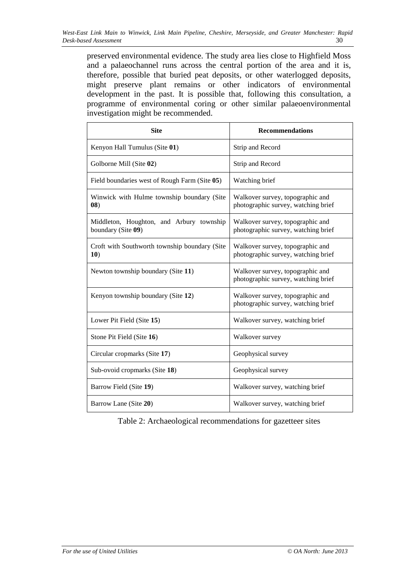preserved environmental evidence. The study area lies close to Highfield Moss and a palaeochannel runs across the central portion of the area and it is, therefore, possible that buried peat deposits, or other waterlogged deposits, might preserve plant remains or other indicators of environmental development in the past. It is possible that, following this consultation, a programme of environmental coring or other similar palaeoenvironmental investigation might be recommended.

| <b>Site</b>                                                    | <b>Recommendations</b>                                                  |
|----------------------------------------------------------------|-------------------------------------------------------------------------|
| Kenyon Hall Tumulus (Site 01)                                  | Strip and Record                                                        |
| Golborne Mill (Site 02)                                        | Strip and Record                                                        |
| Field boundaries west of Rough Farm (Site 05)                  | Watching brief                                                          |
| Winwick with Hulme township boundary (Site<br>08)              | Walkover survey, topographic and<br>photographic survey, watching brief |
| Middleton, Houghton, and Arbury township<br>boundary (Site 09) | Walkover survey, topographic and<br>photographic survey, watching brief |
| Croft with Southworth township boundary (Site<br>10)           | Walkover survey, topographic and<br>photographic survey, watching brief |
| Newton township boundary (Site 11)                             | Walkover survey, topographic and<br>photographic survey, watching brief |
| Kenyon township boundary (Site 12)                             | Walkover survey, topographic and<br>photographic survey, watching brief |
| Lower Pit Field (Site 15)                                      | Walkover survey, watching brief                                         |
| Stone Pit Field (Site 16)                                      | Walkover survey                                                         |
| Circular cropmarks (Site 17)                                   | Geophysical survey                                                      |
| Sub-ovoid cropmarks (Site 18)                                  | Geophysical survey                                                      |
| Barrow Field (Site 19)                                         | Walkover survey, watching brief                                         |
| Barrow Lane (Site 20)                                          | Walkover survey, watching brief                                         |

Table 2: Archaeological recommendations for gazetteer sites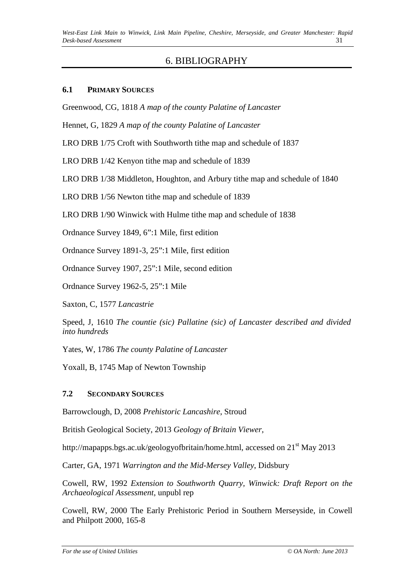# 6. BIBLIOGRAPHY

### **6.1 PRIMARY SOURCES**

Greenwood, CG, 1818 *A map of the county Palatine of Lancaster*

Hennet, G, 1829 *A map of the county Palatine of Lancaster* 

LRO DRB 1/75 Croft with Southworth tithe map and schedule of 1837

LRO DRB 1/42 Kenyon tithe map and schedule of 1839

LRO DRB 1/38 Middleton, Houghton, and Arbury tithe map and schedule of 1840

LRO DRB 1/56 Newton tithe map and schedule of 1839

LRO DRB 1/90 Winwick with Hulme tithe map and schedule of 1838

Ordnance Survey 1849, 6":1 Mile, first edition

Ordnance Survey 1891-3, 25":1 Mile, first edition

Ordnance Survey 1907, 25":1 Mile, second edition

Ordnance Survey 1962-5, 25":1 Mile

Saxton, C, 1577 *Lancastrie* 

Speed, J, 1610 *The countie (sic) Pallatine (sic) of Lancaster described and divided into hundreds*

Yates, W, 1786 *The county Palatine of Lancaster* 

Yoxall, B, 1745 Map of Newton Township

### **7.2 SECONDARY SOURCES**

Barrowclough, D, 2008 *Prehistoric Lancashire*, Stroud

British Geological Society, 2013 *Geology of Britain Viewer*,

http://mapapps.bgs.ac.uk/geologyofbritain/home.html, accessed on 21<sup>st</sup> May 2013

Carter, GA, 1971 *Warrington and the Mid-Mersey Valley*, Didsbury

Cowell, RW, 1992 *Extension to Southworth Quarry, Winwick: Draft Report on the Archaeological Assessment*, unpubl rep

Cowell, RW, 2000 The Early Prehistoric Period in Southern Merseyside, in Cowell and Philpott 2000, 165-8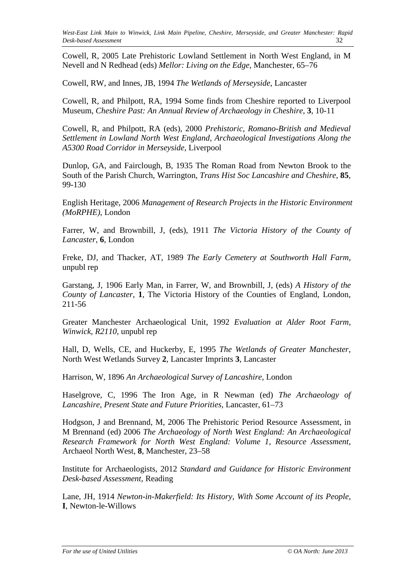Cowell, R, 2005 Late Prehistoric Lowland Settlement in North West England, in M Nevell and N Redhead (eds) *Mellor: Living on the Edge*, Manchester, 65–76

Cowell, RW, and Innes, JB, 1994 *The Wetlands of Merseyside*, Lancaster

Cowell, R, and Philpott, RA, 1994 Some finds from Cheshire reported to Liverpool Museum, *Cheshire Past: An Annual Review of Archaeology in Cheshire*, **3**, 10-11

Cowell, R, and Philpott, RA (eds), 2000 *Prehistoric, Romano-British and Medieval Settlement in Lowland North West England, Archaeological Investigations Along the A5300 Road Corridor in Merseyside*, Liverpool

Dunlop, GA, and Fairclough, B, 1935 The Roman Road from Newton Brook to the South of the Parish Church, Warrington, *Trans Hist Soc Lancashire and Cheshire*, **85**, 99-130

English Heritage, 2006 *Management of Research Projects in the Historic Environment (MoRPHE)*, London

Farrer, W, and Brownbill, J, (eds), 1911 *The Victoria History of the County of Lancaster*, **6**, London

Freke, DJ, and Thacker, AT, 1989 *The Early Cemetery at Southworth Hall Farm*, unpubl rep

Garstang, J, 1906 Early Man, in Farrer, W, and Brownbill, J, (eds) *A History of the County of Lancaster*, **1**, The Victoria History of the Counties of England, London, 211-56

Greater Manchester Archaeological Unit, 1992 *Evaluation at Alder Root Farm, Winwick, R2110*, unpubl rep

Hall, D, Wells, CE, and Huckerby, E, 1995 *The Wetlands of Greater Manchester*, North West Wetlands Survey **2**, Lancaster Imprints **3**, Lancaster

Harrison, W, 1896 *An Archaeological Survey of Lancashire*, London

Haselgrove, C, 1996 The Iron Age, in R Newman (ed) *The Archaeology of Lancashire, Present State and Future Priorities*, Lancaster, 61–73

Hodgson, J and Brennand, M, 2006 The Prehistoric Period Resource Assessment, in M Brennand (ed) 2006 *The Archaeology of North West England: An Archaeological Research Framework for North West England: Volume 1, Resource Assessment*, Archaeol North West, **8**, Manchester, 23–58

Institute for Archaeologists, 2012 *Standard and Guidance for Historic Environment Desk-based Assessment*, Reading

Lane, JH, 1914 *Newton-in-Makerfield: Its History, With Some Account of its People*, **I**, Newton-le-Willows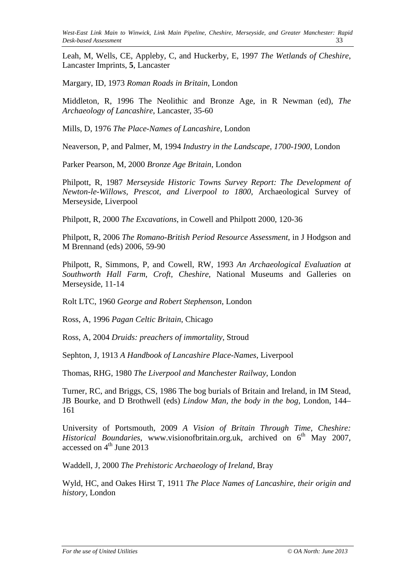Leah, M, Wells, CE, Appleby, C, and Huckerby, E, 1997 *The Wetlands of Cheshire*, Lancaster Imprints, **5**, Lancaster

Margary, ID, 1973 *Roman Roads in Britain*, London

Middleton, R, 1996 The Neolithic and Bronze Age, in R Newman (ed), *The Archaeology of Lancashire*, Lancaster, 35-60

Mills, D, 1976 *The Place-Names of Lancashire*, London

Neaverson, P, and Palmer, M, 1994 *Industry in the Landscape, 1700-1900*, London

Parker Pearson, M, 2000 *Bronze Age Britain*, London

Philpott, R, 1987 *Merseyside Historic Towns Survey Report: The Development of Newton-le-Willows, Prescot, and Liverpool to 1800*, Archaeological Survey of Merseyside, Liverpool

Philpott, R, 2000 *The Excavations*, in Cowell and Philpott 2000, 120-36

Philpott, R, 2006 *The Romano-British Period Resource Assessment*, in J Hodgson and M Brennand (eds) 2006, 59-90

Philpott, R, Simmons, P, and Cowell, RW, 1993 *An Archaeological Evaluation at Southworth Hall Farm, Croft, Cheshire*, National Museums and Galleries on Merseyside, 11-14

Rolt LTC, 1960 *George and Robert Stephenson*, London

Ross, A, 1996 *Pagan Celtic Britain*, Chicago

Ross, A, 2004 *Druids: preachers of immortality*, Stroud

Sephton, J, 1913 *A Handbook of Lancashire Place-Names*, Liverpool

Thomas, RHG, 1980 *The Liverpool and Manchester Railway*, London

Turner, RC, and Briggs, CS, 1986 The bog burials of Britain and Ireland, in IM Stead, JB Bourke, and D Brothwell (eds) *Lindow Man, the body in the bog*, London, 144– 161

University of Portsmouth, 2009 *A Vision of Britain Through Time, Cheshire: Historical Boundaries*, www.visionofbritain.org.uk, archived on 6<sup>th</sup> May 2007, accessed on  $4<sup>th</sup>$  June 2013

Waddell, J, 2000 *The Prehistoric Archaeology of Ireland*, Bray

Wyld, HC, and Oakes Hirst T, 1911 *The Place Names of Lancashire, their origin and history*, London